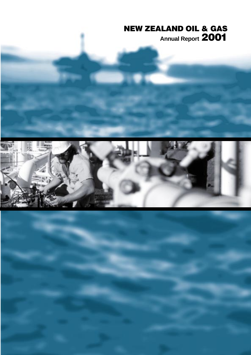# **NEW ZEALAND OIL & GAS Annual Report 2001**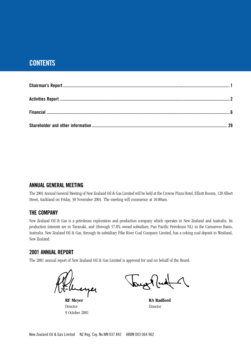# **CONTENTS**

# **ANNUAL GENERAL MEETING**

The 2001 Annual General Meeting of New Zealand Oil & Gas Limited will be held at the Crowne Plaza Hotel, Elliott Rooms, 128 Albert Street, Auckland on Friday, 30 November 2001. The meeting will commence at 10.00am.

# **THE COMPANY**

New Zealand Oil & Gas is a petroleum exploration and production company which operates in New Zealand and Australia. Its production interests are in Taranaki, and (through 57.8% owned subsidiary, Pan Pacific Petroleum NL) in the Carnarvon Basin, Australia. New Zealand Oil & Gas, through its subsidiary Pike River Coal Company Limited, has a coking coal deposit in Westland, New Zealand.

# **2001 ANNUAL REPORT**

The 2001 annual report of New Zealand Oil & Gas Limited is approved for and on behalf of the Board.

Inerper

Director Director 9 October 2001

wet (ud

**RF Meyer** RA Radford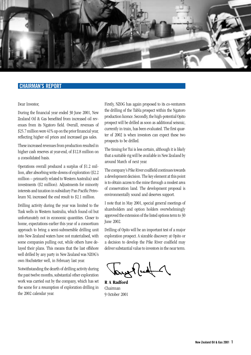

# **CHAIRMAN'S REPORT**

#### Dear Investor,

During the financial year ended 30 June 2001, New Zealand Oil & Gas benefited from increased oil revenues from its Ngatoro field. Overall, revenues of \$25.7 million were 41% up on the prior financial year, reflecting higher oil prices and increased gas sales.

These increased revenues from production resulted in higher cash reserves at year-end, of \$12.8 million on a consolidated basis.

Operations overall produced a surplus of \$1.2 million, after absorbing write-downs of exploration (\$2.2 million – primarily related to Western Australia) and investments (\$2 million). Adjustments for minority interests and taxation in subsidiary Pan Pacific Petroleum NL increased the end result to \$2.1 million.

Drilling activity during the year was limited to the Tusk wells in Western Australia, which found oil but unfortunately not in economic quantities. Closer to home, expectations earlier this year of a consortium approach to bring a semi-submersible drilling unit into New Zealand waters have not materialised, with some companies pulling out, while others have delayed their plans. This means that the last offshore well drilled by any party in New Zealand was NZOG's own Hochstetter well, in February last year.

Notwithstanding the dearth of drilling activity during the past twelve months, substantial other exploration work was carried out by the company, which has set the scene for a resumption of exploration drilling in the 2002 calendar year.

Firstly, NZOG has again proposed to its co-venturers the drilling of the Tabla prospect within the Ngatoro production licence. Secondly, the high-potential Opito prospect will be drilled as soon as additional seismic, currently in train, has been evaluated. The first quarter of 2002 is when investors can expect these two prospects to be drilled.

The timing for Tui is less certain, although it is likely that a suitable rig will be available in New Zealand by around March of next year.

The company's Pike River coalfield continues towards a development decision. The key element at this point is to obtain access to the mine through a modest area of conservation land. The development proposal is environmentally sound and deserves support.

I note that in May 2001, special general meetings of shareholders and option holders overwhelmingly approved the extension of the listed options term to 30 June 2002.

Drilling of Opito will be an important test of a major exploration prospect. A sizeable discovery at Opito or a decision to develop the Pike River coalfield may deliver substantial value to investors in the near term.

louse Rud 1

**R A Radford** Chairman 9 October 2001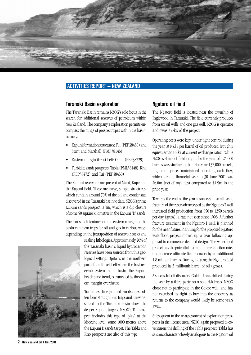

# **ACTIVITIES REPORT – NEW ZEALAND**

### **Taranaki Basin exploration**

The Taranaki Basin remains NZOG's sole focus in the search for additional reserves of petroleum within New Zealand. The company's exploration permits encompass the range of prospect types within the basin, namely:

- Kapuni formation structures: Tui (PEP38460) and Stent and Marshall (PMP38146)
- Eastern margin thrust belt: Opito (PEP38729)
- Turbidite sands prospects: Tabla (PML38148), Rho (PEP38472) and Tui (PEP38460)

The Kapuni reservoirs are present at Maui, Kupe and the Kapuni field. These are large, simple structures, which contain around 70% of the oil and condensate discovered in the Taranaki basin to date. NZOG's prime Kapuni sands prospect is Tui, which is a dip closure of some 50 square kilometres in the Kapuni 'D' sands.

The thrust belt features on the eastern margin of the basin can form traps for oil and gas in various ways, depending on the juxtaposition of reservoir rocks and

> sealing lithologies. Approximately 20% of the Taranaki basin's liquid hydrocarbon reserves have been sourced from this geological setting. Opito is in the northern part of the thrust belt where the best reservoir system in the basin, the Kapuni beach sand trend, is truncated by the eastern margin overthrust.

> Turbidites, fine-grained sandstones, often form stratigraphic traps and are widespread in the Taranaki basin above the deeper Kapuni targets. NZOG's Tui prospect includes this type of 'play' at the Miocene level, some 1000 metres above the Kapuni D sands target. The Tabla and Rho prospects are also of this type.

## **Ngatoro oil field**

The Ngatoro field is located near the township of Inglewood in Taranaki. The field currently produces from six oil wells and one gas well. NZOG is operator and owns 35.4% of the project.

Operating costs were kept under tight control during the year, at NZ\$5 per barrel of oil produced (roughly equivalent to US\$2 at current exchange rates). While NZOG's share of field output for the year of 124,000 barrels was similar to the prior year 132,000 barrels, higher oil prices maintained operating cash flow, which for the financial year to 30 June 2001 was \$6.0m (net of royalties) compared to \$4.9m in the prior year.

Towards the end of the year a successful small-scale fracture of the reservoir accessed by the Ngatoro 7 well increased field production from 850 to 1250 barrels per day (gross), a rate not seen since 1998. A further fracture treatment in the Ngatoro 1 well, is planned for the near future. Planning for the proposed Ngatoro waterflood project moved up a gear following approval to commence detailed design. The waterflood project has the potential to maintain production rates and increase ultimate field recovery by an additional 1.8 million barrels. During the year, the Ngatoro field produced its 3 millionth barrel of oil (gross).

A successful oil discovery, Goldie-1 was drilled during the year by a third party on a sole risk basis. NZOG chose not to participate in the Goldie well, and has not exercised its right to buy into the discovery as returns to the company would likely be some years away.

Subsequent to the re-assessment of exploration prospects in the licence area, NZOG again proposed to coventurers the drilling of the Tabla prospect. Tabla has seismic character closely analogous to the Ngatoro oil

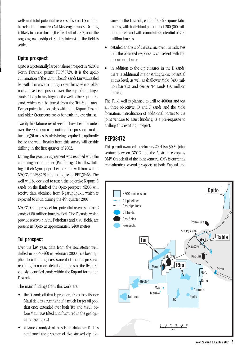wells and total potential reserves of some 1.5 million barrels of oil from two Mt Messenger sands. Drilling is likely to occur during the first half of 2002, once the ongoing ownership of Shell's interest in the field is settled.

# **Opito prospect**

Opito is a potentially large onshore prospect in NZOG's North Taranaki permit PEP38729. It is the updip culmination of the Kapuni beach sands fairway, sealed beneath the eastern margin overthrust where older rocks have been pushed over the top of the target sands. The primary target of the well is the Kapuni 'C' sand, which can be traced from the Tui-Maui area. Deeper potential also exists within the Kapuni D sand and older Cretaceous rocks beneath the overthrust.

Twenty-five kilometres of seismic have been recorded over the Opito area to outline the prospect, and a further 39km of seismic is being acquired to optimally locate the well. Results from this survey will enable drilling in the first quarter of 2002.

During the year, an agreement was reached with the adjoining permit holder (Pacific Tiger) to allow drilling of their Ngarupupu-1 exploration well from within NZOG's PEP38729 into the adjacent PEP38463. The well will be deviated to reach the objective Kapuni C sands on the flank of the Opito prospect. NZOG will receive data obtained from Ngarupupu-1, which is expected to spud during the 4th quarter 2001.

NZOG's Opito prospect has potential reserves in the C sands of 80 million barrels of oil. The C sands, which provide reservoir in the Pohokura and Maui fields, are present in Opito at approximately 2400 metres.

# **Tui prospect**

Over the last year, data from the Hochstetter well, drilled in PEP38460 in February 2000, has been applied to a thorough assessment of the Tui prospect, resulting in a more detailed analysis of the five previously identified sands within the Kapuni formation D sands.

The main findings from this work are:

- the D sands oil that is produced from the offshore Maui field is a remnant of a much larger oil pool that once extended over both Tui and Maui, before Maui was tilted and fractured in the geologically recent past
- advanced analysis of the seismic data over Tui has confirmed the presence of five stacked dip clo-

sures in the D sands, each of 50-60 square kilometres, with individual potential of 200-300 million barrels and with cumulative potential of 700 million barrels

- detailed analysis of the seismic over Tui indicates that the observed response is consistent with hydrocarbon charge
- in addition to the dip closures in the D sands, there is additional major stratigraphic potential at this level, as well as shallower Moki (400 million barrels) and deeper 'F' sands (50 million barrels)

The Tui-1 well is planned to drill to 4000m and test all three objectives, D and F sands and the Moki formation. Introduction of additional parties to the joint venture to assist funding, is a pre-requisite to drilling this exciting prospect.

# **PEP38472**

This permit awarded in February 2001 is a 50:50 joint venture between NZOG and the Austrian company OMV. On behalf of the joint venture, OMV is currently re-evaluating several prospects at both Kapuni and

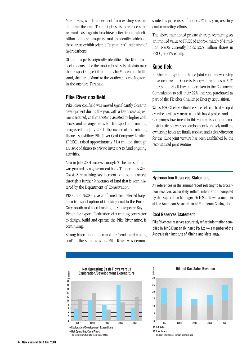Moki levels, which are evident from existing seismic data over the area. The first phase is to reprocess the relevant existing data to achieve better structural definition of these prospects, and to identify which of these areas exhibit seismic "signatures" indicative of hydrocarbons.

Of the prospects originally identified, the Rho prospect appears to be the most robust. Seismic data over the prospect suggest that it may be Miocene turbidite sand, similar to Maari to the southwest, or to Ngatoro in the onshore Taranaki.

# **Pike River coalfield**

Pike River coalfield was moved significantly closer to development during the year, with a key access agreement secured, coal marketing assisted by higher coal prices and arrangements for transport and mining progressed. In July 2001, the owner of the mining licence, subsidiary Pike River Coal Company Limited (PRCC), raised approximately \$1.4 million through an issue of shares to private investors to fund ongoing activities.

Also in July 2001, access through 21 hectares of land was granted by a government body, Timberlands West Coast. A remaining key element is to obtain access through a further 9 hectares of land that is administered by the Department of Conservation.

PRCC and NZOG have confirmed the preferred longterm transport option of trucking coal to the Port of Greymouth and then barging to Shakespeare Bay at Picton for export. Evaluation of a mining contractor to design, build and operate the Pike River mine, is continuing.

Strong international demand for 'semi-hard coking coal' – the same class as Pike River, was demonstrated by price rises of up to 20% this year, assisting coal marketing efforts.

The above mentioned private share placement gives an implied value to PRCC of approximately \$31 million. NZOG currently holds 22.5 million shares in PRCC, a 72% equity.

### **Kupe field**

Further changes in the Kupe joint venture ownership have occurred – Genesis Energy now holds a 50% interest and Shell have undertaken to the Commerce Commission to sell their 22% interest, purchased as part of the Fletcher Challenge Energy acquisition.

Whilst NZOG believes that the Kupe field can be developed over the next few years as a liquids based project, and the Company's investment in this venture is sound, meaningful activity towards a development is unlikely until the ownership issues are finally resolved and a clear direction for the Kupe joint venture has been established by the reconstituted joint venture.

#### **Hydrocarbon Reserves Statement**

All references in the annual report relating to hydrocarbon reserves accurately reflect information compiled by the Exploration Manager, Dr E Matthews, a member of the American Association of Petroleum Geologists.

#### **Coal Reserves Statement**

Pike River coal reserves accurately reflect information compiled by Mr G Duncan (Minarco Pty Ltd) – a member of the Australasian Institute of Mining and Metallurgy.



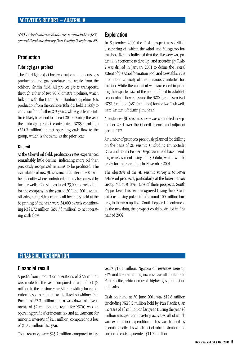*NZOG's Australian activities are conducted by 58% owned listed subsidiary Pan Pacific Petroleum NL.*

### **Production**

### **Tubridgi gas project**

The Tubridgi project has two major components: gas production and gas purchase and resale from the offshore Griffin field. All project gas is transported through either of two 90 kilometre pipelines, which link up with the Dampier – Bunbury pipeline. Gas production from the onshore Tubridgi field is likely to continue for a further 2-3 years, while gas from Griffin is likely to extend to at least 2010. During the year, the Tubridgi project contributed NZ\$5.4 million (A\$4.2 million) in net operating cash flow to the group, which is the same as the prior year.

#### **Chervil**

At the Chervil oil field, production rates experienced remarkably little decline, indicating more oil than previously recognised remains to be produced. The availability of new 3D seismic data later in 2001 will help identify where undrained oil may be accessed by further wells. Chervil produced 23,000 barrels of oil for the company in the year to 30 June 2001. Actual oil sales, comprising mainly oil inventory held at the beginning of the year, were 34,000 barrels contributing NZ\$1.72 million (A\$1.36 million) to net operating cash flow.

### **Exploration**

In September 2000 the Tusk prospect was drilled, discovering oil within the Athol and Mungaroo formations. Results indicated that the discovery was potentially economic to develop, and accordingly Tusk-2 was drilled in January 2001 to define the lateral extent of the Athol formation pool and to establish the production capacity of this previously untested formation. While the appraisal well succeeded in proving the expected size of the pool, it failed to establish economic oil flow rates and the NZOG group's costs of NZ\$1.3 million (A\$1.0 million) for the two Tusk wells were written off during the year.

An extensive 3D seismic survey was completed in September 2001 over the Chervil licence and adjacent permit TP7.

A number of prospects previously planned for drilling on the basis of 2D seismic (including Immortelle, Cara and South Pepper Deep) were held back, pending re-assessment using the 3D data, which will be ready for interpretation in November 2001.

The objective of the 3D seismic survey is to better define oil prospects, particularly at the lower Barrow Group Malouet level. One of these prospects, South Pepper Deep, has been recognised (using the 2D seismic) as having potential of around 100 million barrels, in the area updip of South Pepper-1. If enhanced by the new data, the prospect could be drilled in first half of 2002.

### **FINANCIAL INFORMATION**

### **Financial result**

A profit from production operations of \$7.5 million was made for the year compared to a profit of \$5 million in the previous year. After providing for exploration costs in relation to its listed subsidiary Pan Pacific of \$2.2 million and a writedown of investments of \$2 million, the result for NZOG was an operating profit after income tax and adjustments for minority interests of \$2.1 million, compared to a loss of \$10.7 million last year.

Total revenues were \$25.7 million compared to last

year's \$18.1 million. Ngatoro oil revenues were up 34% and the remaining increase was attributable to Pan Pacific, which enjoyed higher gas production and sales.

Cash on hand at 30 June 2001 was \$12.8 million (including NZ\$5.2 million held by Pan Pacific), an increase of \$6 million on last year. During the year \$6 million was spent on investing activities, all of which was exploration expenditure. This was funded by operating activities which net of administration and corporate costs, generated \$11.7 million.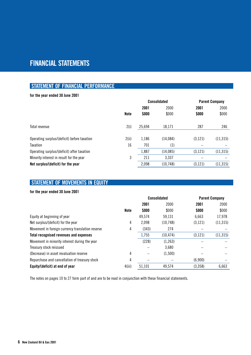# **FINANCIAL STATEMENTS**

# **STATEMENT OF FINANCIAL PERFORMANCE**

### **for the year ended 30 June 2001**

|                                             |             | <b>Consolidated</b> |           | <b>Parent Company</b> |           |
|---------------------------------------------|-------------|---------------------|-----------|-----------------------|-----------|
|                                             |             | 2001                | 2000      | 2001                  | 2000      |
|                                             | <b>Note</b> | \$000               | \$000     | \$000                 | \$000     |
| Total revenue                               | 2(i)        | 25,694              | 18,171    | 287                   | 246       |
| Operating surplus/(deficit) before taxation | 2(ii)       | 1,186               | (14,084)  | (3, 121)              | (11, 315) |
| Taxation                                    | 16          | 701                 | (1)       |                       |           |
| Operating surplus/(deficit) after taxation  |             | 1,887               | (14,085)  | (3, 121)              | (11, 315) |
| Minority interest in result for the year    | 3           | 211                 | 3,337     |                       |           |
| Net surplus/(deficit) for the year          |             | 2,098               | (10, 748) | (3, 121)              | (11, 315) |
|                                             |             |                     |           |                       |           |

# **STATEMENT OF MOVEMENTS IN EQUITY**

### **for the year ended 30 June 2001**

|                                                  | <b>Consolidated</b> |        | <b>Parent Company</b> |          |           |
|--------------------------------------------------|---------------------|--------|-----------------------|----------|-----------|
|                                                  |                     | 2001   | 2000                  | 2001     | 2000      |
|                                                  | <b>Note</b>         | \$000  | \$000                 | \$000    | \$000     |
| Equity at beginning of year                      |                     | 49,574 | 59,131                | 6,663    | 17,978    |
| Net surplus/(deficit) for the year               | 4                   | 2,098  | (10,748)              | (3, 121) | (11, 315) |
| Movement in foreign currency translation reserve | 4                   | (343)  | 274                   |          |           |
| Total recognised revenues and expenses           |                     | 1,755  | (10, 474)             | (3, 121) | (11, 315) |
| Movement in minority interest during the year    |                     | (228)  | (1,263)               |          |           |
| Treasury stock reissued                          |                     |        | 3,680                 |          |           |
| (Decrease) in asset revaluation reserve          | 4                   |        | (1,500)               |          |           |
| Repurchase and cancellation of treasury stock    | 4                   |        |                       | (6,900)  |           |
| Equity/(deficit) at end of year                  | 4(iii)              | 51,101 | 49,574                | (3,358)  | 6,663     |

The notes on pages 10 to 27 form part of and are to be read in conjunction with these financial statements.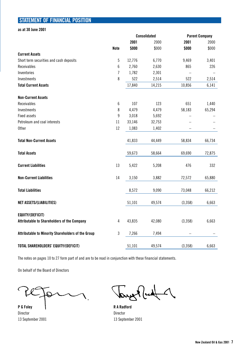# **STATEMENT OF FINANCIAL POSITION**

**as at 30 June 2001**

|                                                                               |                | <b>Consolidated</b> |        | <b>Parent Company</b> |        |
|-------------------------------------------------------------------------------|----------------|---------------------|--------|-----------------------|--------|
|                                                                               |                | 2001                | 2000   | 2001                  | 2000   |
|                                                                               | <b>Note</b>    | \$000               | \$000  | \$000                 | \$000  |
| <b>Current Assets</b>                                                         |                |                     |        |                       |        |
| Short term securities and cash deposits                                       | $\overline{5}$ | 12,776              | 6,770  | 9,469                 | 3,401  |
| Receivables                                                                   | 6              | 2,760               | 2,630  | 865                   | 226    |
| Inventories                                                                   | $\overline{1}$ | 1,782               | 2,301  |                       |        |
| Investments                                                                   | 8              | 522                 | 2,514  | 522                   | 2,514  |
| <b>Total Current Assets</b>                                                   |                | 17,840              | 14,215 | 10,856                | 6,141  |
| <b>Non-Current Assets</b>                                                     |                |                     |        |                       |        |
| <b>Receivables</b>                                                            | 6              | 107                 | 123    | 651                   | 1,440  |
| Investments                                                                   | 8              | 4,479               | 4,479  | 58,183                | 65,294 |
| <b>Fixed assets</b>                                                           | 9              | 3,018               | 5,692  |                       |        |
| Petroleum and coal interests                                                  | 11             | 33,146              | 32,753 |                       |        |
| <b>Other</b>                                                                  | 12             | 1,083               | 1,402  |                       |        |
| <b>Total Non-Current Assets</b>                                               |                | 41,833              | 44,449 | 58,834                | 66,734 |
| <b>Total Assets</b>                                                           |                | 59,673              | 58,664 | 69,690                | 72,875 |
| <b>Current Liabilities</b>                                                    | 13             | 5,422               | 5,208  | 476                   | 332    |
| <b>Non-Current Liabilities</b>                                                | 14             | 3,150               | 3,882  | 72,572                | 65,880 |
| <b>Total Liabilities</b>                                                      |                | 8,572               | 9,090  | 73,048                | 66,212 |
| <b>NET ASSETS/(LIABILITIES)</b>                                               |                | 51,101              | 49,574 | (3,358)               | 6,663  |
| <b>EQUITY/(DEFICIT)</b><br><b>Attributable to Shareholders of the Company</b> | 4              | 43,835              | 42,080 | (3,358)               | 6,663  |
| Attributable to Minority Shareholders of the Group                            | 3              | 7,266               | 7,494  |                       |        |
| TOTAL SHAREHOLDERS' EQUITY/(DEFICIT)                                          |                | 51,101              | 49,574 | (3,358)               | 6,663  |

The notes on pages 10 to 27 form part of and are to be read in conjunction with these financial statements.

On behalf of the Board of Directors

 $\epsilon$  $\overline{Q}$ 

**P G Foley R A Radford** Director **Director** Director 13 September 2001 13 September 2001

Tony Put 1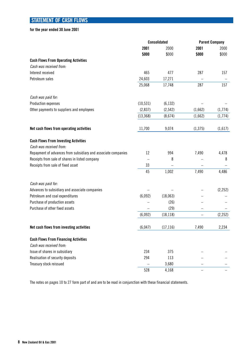# **STATEMENT OF CASH FLOWS**

**for the year ended 30 June 2001**

|                                                               | <b>Consolidated</b> |           | <b>Parent Company</b> |          |
|---------------------------------------------------------------|---------------------|-----------|-----------------------|----------|
|                                                               | 2001                | 2000      | 2001                  | 2000     |
|                                                               | \$000               | \$000     | \$000                 | \$000    |
| <b>Cash Flows From Operating Activities</b>                   |                     |           |                       |          |
| Cash was received from:                                       |                     |           |                       |          |
| Interest received                                             | 465                 | 477       | 287                   | 157      |
| Petroleum sales                                               | 24,603              | 17,271    |                       |          |
|                                                               | 25,068              | 17,748    | 287                   | 157      |
| Cash was paid for:                                            |                     |           |                       |          |
| Production expenses                                           | (10, 531)           | (6, 132)  |                       |          |
| Other payments to suppliers and employees                     | (2,837)             | (2, 542)  | (1,662)               | (1,774)  |
|                                                               | (13, 368)           | (8,674)   | (1,662)               | (1,774)  |
| Net cash flows from operating activities                      | 11,700              | 9,074     | (1, 375)              | (1,617)  |
| <b>Cash Flows From Investing Activities</b>                   |                     |           |                       |          |
| Cash was received from:                                       |                     |           |                       |          |
| Repayment of advances from subsidiary and associate companies | 12                  | 994       | 7,490                 | 4,478    |
| Receipts from sale of shares in listed company                |                     | 8         |                       | 8        |
| Receipts from sale of fixed asset                             | 33                  |           |                       |          |
|                                                               | 45                  | 1,002     | 7,490                 | 4,486    |
| Cash was paid for:                                            |                     |           |                       |          |
| Advances to subsidiary and associate companies                |                     |           |                       | (2, 252) |
| Petroleum and coal expenditures                               | (6,092)             | (18,063)  |                       |          |
| Purchase of production assets                                 |                     | (26)      |                       |          |
| Purchase of other fixed assets                                |                     | (29)      |                       |          |
|                                                               | (6,092)             | (18, 118) |                       | (2, 252) |
| Net cash flows from investing activities                      | (6,047)             | (17, 116) | 7,490                 | 2,234    |
| <b>Cash Flows From Financing Activities</b>                   |                     |           |                       |          |
| Cash was received from:                                       |                     |           |                       |          |
| Issue of shares in subsidiary                                 | 234                 | 375       |                       |          |
| Realisation of security deposits                              | 294                 | 113       |                       |          |
| Treasury stock reissued                                       |                     | 3,680     |                       |          |
|                                                               | 528                 | 4,168     |                       |          |

The notes on pages 10 to 27 form part of and are to be read in conjunction with these financial statements.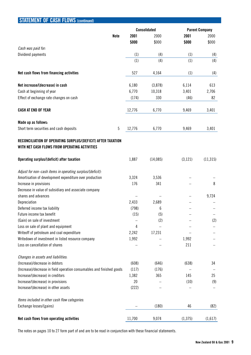| SIAILMENT UF GASH FLUWS (continued)                                                                           |        |                     |          |                       |
|---------------------------------------------------------------------------------------------------------------|--------|---------------------|----------|-----------------------|
|                                                                                                               |        | <b>Consolidated</b> |          | <b>Parent Company</b> |
| <b>Note</b>                                                                                                   | 2001   | 2000                | 2001     | 2000                  |
|                                                                                                               | \$000  | \$000               | \$000    | \$000                 |
| Cash was paid for:                                                                                            |        |                     |          |                       |
| Dividend payments                                                                                             | (1)    | (4)                 | (1)      | (4)                   |
|                                                                                                               | (1)    | (4)                 | (1)      | (4)                   |
| Net cash flows from financing activities                                                                      | 527    | 4,164               | (1)      | (4)                   |
| Net increase/(decrease) in cash                                                                               | 6,180  | (3,878)             | 6,114    | 613                   |
| Cash at beginning of year                                                                                     | 6,770  | 10,318              | 3,401    | 2,706                 |
| Effect of exchange rate changes on cash                                                                       | (174)  | 330                 | (46)     | 82                    |
| <b>CASH AT END OF YEAR</b>                                                                                    | 12,776 | 6,770               | 9,469    | 3,401                 |
| Made up as follows:                                                                                           |        |                     |          |                       |
| 5<br>Short term securities and cash deposits                                                                  | 12,776 | 6,770               | 9,469    | 3,401                 |
| RECONCILIATION OF OPERATING SURPLUS/(DEFICIT) AFTER TAXATION<br>WITH NET CASH FLOWS FROM OPERATING ACTIVITIES |        |                     |          |                       |
| Operating surplus/(deficit) after taxation                                                                    | 1,887  | (14,085)            | (3, 121) | (11, 315)             |
| Adjust for non-cash items in operating surplus/(deficit):                                                     |        |                     |          |                       |
| Amortisation of development expenditure over production                                                       | 3,324  | 3,536               |          |                       |
| Increase in provisions                                                                                        | 176    | 341                 |          | 8                     |
| Decrease in value of subsidiary and associate company                                                         |        |                     |          |                       |
| shares and advances                                                                                           |        |                     |          | 9,724                 |
| Depreciation                                                                                                  | 2,433  | 2,689               |          |                       |
| Deferred income tax liability                                                                                 | (798)  | 6                   |          |                       |
| Future income tax benefit                                                                                     | (15)   | (5)                 |          |                       |
| (Gain) on sale of investment                                                                                  |        | (2)                 |          | (2)                   |
| Loss on sale of plant and equipment                                                                           | 4      |                     |          |                       |
| Writeoff of petroleum and coal expenditure                                                                    | 2,242  | 17,231              |          |                       |
| Writedown of investment in listed resource company                                                            | 1,992  |                     | 1,992    |                       |
| Loss on cancellation of shares                                                                                |        |                     | 211      |                       |
| Changes in assets and liabilities:                                                                            |        |                     |          |                       |
| (Increase)/decrease in debtors                                                                                | (608)  | (646)               | (638)    | 34                    |
| (Increase)/decrease in field operation consumables and finished goods                                         | (117)  | (176)               |          |                       |
| Increase/(decrease) in creditors                                                                              | 1,382  | 365                 | 145      | 25                    |
| Increase/(decrease) in provisions                                                                             | 20     |                     | (10)     | (9)                   |
| Increase/(decrease) in other assets                                                                           | (222)  |                     |          |                       |
| Items included in other cash flow categories:                                                                 |        |                     |          |                       |
| Exchange losses/(gains)                                                                                       |        | (180)               | 46       | (82)                  |
| Net cash flows from operating activities                                                                      | 11,700 | 9,074               | (1, 375) | (1,617)               |

**CONTENTIVE OF CASH FLOWS** 

The notes on pages 10 to 27 form part of and are to be read in conjunction with these financial statements.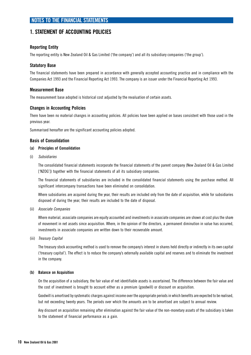# **1. STATEMENT OF ACCOUNTING POLICIES**

### **Reporting Entity**

The reporting entity is New Zealand Oil & Gas Limited ('the company') and all its subsidiary companies ('the group').

### **Statutory Base**

The financial statements have been prepared in accordance with generally accepted accounting practice and in compliance with the Companies Act 1993 and the Financial Reporting Act 1993. The company is an issuer under the Financial Reporting Act 1993.

#### **Measurement Base**

The measurement base adopted is historical cost adjusted by the revaluation of certain assets.

#### **Changes in Accounting Policies**

There have been no material changes in accounting policies. All policies have been applied on bases consistent with those used in the previous year.

Summarised hereafter are the significant accounting policies adopted.

#### **Basis of Consolidation**

#### **(a) Principles of Consolidation**

(i) Subsidiaries

The consolidated financial statements incorporate the financial statements of the parent company (New Zealand Oil & Gas Limited ['NZOG']) together with the financial statements of all its subsidiary companies.

The financial statements of subsidiaries are included in the consolidated financial statements using the purchase method. All significant intercompany transactions have been eliminated on consolidation.

Where subsidiaries are acquired during the year, their results are included only from the date of acquisition, while for subsidiaries disposed of during the year, their results are included to the date of disposal.

(ii) Associate Companies

Where material, associate companies are equity accounted and investments in associate companies are shown at cost plus the share of movement in net assets since acquisition. Where, in the opinion of the directors, a permanent diminution in value has occurred, investments in associate companies are written down to their recoverable amount.

(iii) Treasury Capital

The treasury stock accounting method is used to remove the company's interest in shares held directly or indirectly in its own capital ('treasury capital'). The effect is to reduce the company's externally available capital and reserves and to eliminate the investment in the company.

#### **(b) Balance on Acquisition**

On the acquisition of a subsidiary, the fair value of net identifiable assets is ascertained. The difference between the fair value and the cost of investment is brought to account either as a premium (goodwill) or discount on acquisition.

Goodwill is amortised by systematic charges against income over the appropriate periods in which benefits are expected to be realised, but not exceeding twenty years. The periods over which the amounts are to be amortised are subject to annual review.

Any discount on acquisition remaining after elimination against the fair value of the non-monetary assets of the subsidiary is taken to the statement of financial performance as a gain.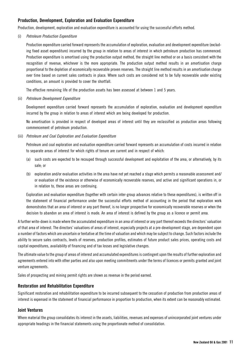### **Production, Development, Exploration and Evaluation Expenditure**

Production, development, exploration and evaluation expenditure is accounted for using the successful efforts method.

#### (i) Petroleum Production Expenditure

Production expenditure carried forward represents the accumulation of exploration, evaluation and development expenditure (excluding fixed asset expenditure) incurred by the group in relation to areas of interest in which petroleum production has commenced. Production expenditure is amortised using the production output method, the straight line method or on a basis consistent with the recognition of revenue, whichever is the more appropriate. The production output method results in an amortisation charge proportional to the depletion of economically recoverable proven reserves. The straight line method results in an amortisation charge over time based on current sales contracts in place. Where such costs are considered not to be fully recoverable under existing conditions, an amount is provided to cover the shortfall.

The effective remaining life of the production assets has been assessed at between 1 and 5 years.

#### (ii) Petroleum Development Expenditure

Development expenditure carried forward represents the accumulation of exploration, evaluation and development expenditure incurred by the group in relation to areas of interest which are being developed for production.

No amortisation is provided in respect of developed areas of interest until they are reclassified as production areas following commencement of petroleum production.

#### (iii) Petroleum and Coal Exploration and Evaluation Expenditure

Petroleum and coal exploration and evaluation expenditure carried forward represents an accumulation of costs incurred in relation to separate areas of interest for which rights of tenure are current and in respect of which:

- (a) such costs are expected to be recouped through successful development and exploitation of the area, or alternatively, by its sale; or
- (b) exploration and/or evaluation activities in the area have not yet reached a stage which permits a reasonable assessment and/ or evaluation of the existence or otherwise of economically recoverable reserves, and active and significant operations in, or in relation to, these areas are continuing.

Exploration and evaluation expenditure (together with certain inter-group advances relative to these expenditures), is written off in the statement of financial performance under the successful efforts method of accounting in the period that exploration work demonstrates that an area of interest or any part thereof, is no longer prospective for economically recoverable reserves or when the decision to abandon an area of interest is made. An area of interest is defined by the group as a licence or permit area.

A further write-down is made where the accumulated expenditure in an area of interest or any part thereof exceeds the directors' valuation of that area of interest. The directors' valuations of areas of interest, especially projects at a pre-development stage, are dependent upon a number of factors which are uncertain or tentative at the time of valuation and which may be subject to change. Such factors include the ability to secure sales contracts, levels of reserves, production profiles, estimates of future product sales prices, operating costs and capital expenditures, availability of financing and of tax losses and legislative changes.

The ultimate value to the group of areas of interest and accumulated expenditures is contingent upon the results of further exploration and agreements entered into with other parties and also upon meeting commitments under the terms of licences or permits granted and joint venture agreements.

Sales of prospecting and mining permit rights are shown as revenue in the period earned.

#### **Restoration and Rehabilitation Expenditure**

Significant restoration and rehabilitation expenditure to be incurred subsequent to the cessation of production from production areas of interest is expensed in the statement of financial performance in proportion to production, when its extent can be reasonably estimated.

#### **Joint Ventures**

Where material the group consolidates its interest in the assets, liabilities, revenues and expenses of unincorporated joint ventures under appropriate headings in the financial statements using the proportionate method of consolidation.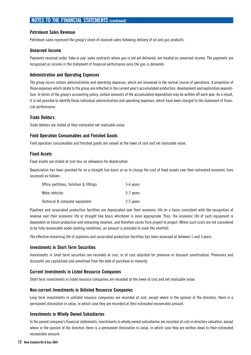### **Petroleum Sales Revenue**

Petroleum sales represent the group's share of invoiced sales following delivery of oil and gas products.

#### **Unearned Income**

Payments received under 'take or pay' sales contracts where gas is not yet delivered, are treated as unearned income. The payments are recognised as income in the statement of financial performance once the gas is delivered.

### **Administration and Operating Expenses**

The group incurs certain administration and operating expenses, which are recovered in the normal course of operations. A proportion of those expenses which relate to the group are reflected in the current year's accumulated production, development and exploration expenditure. In terms of the group's accounting policy, certain amounts of the accumulated expenditure may be written off each year. As a result, it is not possible to identify those individual administration and operating expenses, which have been charged to the statement of financial performance.

### **Trade Debtors**

Trade debtors are stated at their estimated net realisable value.

### **Field Operation Consumables and Finished Goods**

Field operation consumables and finished goods are valued at the lower of cost and net realisable value.

### **Fixed Assets**

Fixed assets are stated at cost less an allowance for depreciation.

Depreciation has been provided for on a straight line basis so as to charge the cost of fixed assets over their estimated economic lives assessed as follows:

| Office partitions, furniture & fittings | 5-6 years |
|-----------------------------------------|-----------|
| Motor vehicles                          | 5-7 years |
| Technical & computer equipment          | 2-5 years |

Pipelines and associated production facilities are depreciated over their economic life on a basis consistent with the recognition of revenue over their economic life or straight line basis whichever is more appropriate. Thus, the economic life of such equipment is dependent on future production and remaining reserves, and therefore varies from project to project. Where such costs are not considered to be fully recoverable under existing conditions, an amount is provided to cover the shortfall.

The effective remaining life of pipelines and associated production facilities has been assessed at between 1 and 5 years.

### **Investments in Short Term Securities**

Investments in short term securities are recorded at cost, or at cost adjusted for premium or discount amortisation. Premiums and discounts are capitalised and amortised from the date of purchase to maturity.

#### **Current Investments in Listed Resource Companies**

Short term investments in listed resource companies are recorded at the lower of cost and net realisable value.

#### **Non-current Investments in Unlisted Resource Companies**

Long term investments in unlisted resource companies are recorded at cost, except where in the opinion of the directors, there is a permanent diminution in value, in which case they are recorded at their estimated recoverable amount.

#### **Investments in Wholly Owned Subsidiaries**

In the parent company's financial statements, investments in wholly owned subsidiaries are recorded at cost or directors valuation, except where in the opinion of the directors there is a permanent diminution in value, in which case they are written down to their estimated recoverable amount.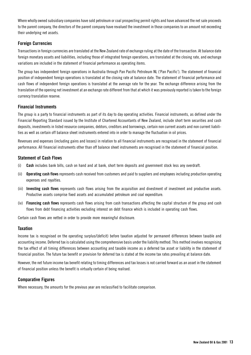Where wholly owned subsidiary companies have sold petroleum or coal prospecting permit rights and have advanced the net sale proceeds to the parent company, the directors of the parent company have revalued the investment in those companies to an amount not exceeding their underlying net assets.

### **Foreign Currencies**

Transactions in foreign currencies are translated at the New Zealand rate of exchange ruling at the date of the transaction. At balance date foreign monetary assets and liabilities, including those of integrated foreign operations, are translated at the closing rate, and exchange variations are included in the statement of financial performance as operating items.

The group has independent foreign operations in Australia through Pan Pacific Petroleum NL ('Pan Pacific'). The statement of financial position of independent foreign operations is translated at the closing rate at balance date. The statement of financial performance and cash flows of independent foreign operations is translated at the average rate for the year. The exchange difference arising from the translation of the opening net investment at an exchange rate different from that at which it was previously reported is taken to the foreign currency translation reserve.

### **Financial Instruments**

The group is a party to financial instruments as part of its day to day operating activities. Financial instruments, as defined under the Financial Reporting Standard issued by the Institute of Chartered Accountants of New Zealand, include short term securities and cash deposits, investments in listed resource companies, debtors, creditors and borrowings, certain non current assets and non current liabilities as well as certain off balance sheet instruments entered into in order to manage the fluctuation in oil prices.

Revenues and expenses (including gains and losses) in relation to all financial instruments are recognised in the statement of financial performance. All financial instruments other than off balance sheet instruments are recognised in the statement of financial position.

### **Statement of Cash Flows**

- (i) **Cash** includes bank bills, cash on hand and at bank, short term deposits and government stock less any overdraft.
- (ii) **Operating cash flows** represents cash received from customers and paid to suppliers and employees including production operating expenses and royalties.
- (iii) **Investing cash flows** represents cash flows arising from the acquisition and divestment of investment and productive assets. Productive assets comprise fixed assets and accumulated petroleum and coal expenditure.
- (iv) **Financing cash flows** represents cash flows arising from cash transactions affecting the capital structure of the group and cash flows from debt financing activities excluding interest on debt finance which is included in operating cash flows.

Certain cash flows are netted in order to provide more meaningful disclosure.

### **Taxation**

Income tax is recognised on the operating surplus/(deficit) before taxation adjusted for permanent differences between taxable and accounting income. Deferred tax is calculated using the comprehensive basis under the liability method. This method involves recognising the tax effect of all timing differences between accounting and taxable income as a deferred tax asset or liability in the statement of financial position. The future tax benefit or provision for deferred tax is stated at the income tax rates prevailing at balance date.

However, the net future income tax benefit relating to timing differences and tax losses is not carried forward as an asset in the statement of financial position unless the benefit is virtually certain of being realised.

### **Comparative Figures**

Where necessary, the amounts for the previous year are reclassified to facilitate comparison.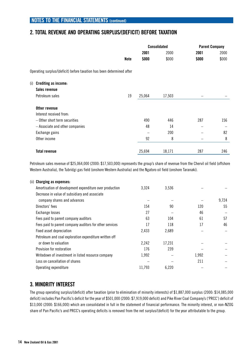# **2. TOTAL REVENUE AND OPERATING SURPLUS/(DEFICIT) BEFORE TAXATION**

|     |                                                                       | <b>Consolidated</b> |        | <b>Parent Company</b> |       |
|-----|-----------------------------------------------------------------------|---------------------|--------|-----------------------|-------|
|     |                                                                       | 2001                | 2000   | 2001                  | 2000  |
|     | <b>Note</b>                                                           | \$000               | \$000  | \$000                 | \$000 |
|     | Operating surplus/(deficit) before taxation has been determined after |                     |        |                       |       |
| (i) | <b>Crediting as income:</b>                                           |                     |        |                       |       |
|     | Sales revenue                                                         |                     |        |                       |       |
|     | 19<br>Petroleum sales                                                 | 25,064              | 17,503 |                       |       |
|     | Other revenue                                                         |                     |        |                       |       |
|     | Interest received from:                                               |                     |        |                       |       |
|     | - Other short term securities                                         | 490                 | 446    | 287                   | 156   |
|     | - Associate and other companies                                       | 48                  | 14     | -                     |       |
|     | Exchange gains                                                        |                     | 200    |                       | 82    |
|     | Other income                                                          | 92                  | 8      |                       | 8     |
|     | <b>Total revenue</b>                                                  | 25,694              | 18,171 | 287                   | 246   |

Petroleum sales revenue of \$25,064,000 (2000: \$17,503,000) represents the group's share of revenue from the Chervil oil field (offshore Western Australia), the Tubridgi gas field (onshore Western Australia) and the Ngatoro oil field (onshore Taranaki).

| (ii) Charging as expenses:                              |        |        |       |       |
|---------------------------------------------------------|--------|--------|-------|-------|
| Amortisation of development expenditure over production | 3,324  | 3,536  |       |       |
| Decrease in value of subsidiary and associate           |        |        |       |       |
| company shares and advances                             |        |        |       | 9,724 |
| Directors' fees                                         | 154    | 90     | 120   | 55    |
| Exchange losses                                         | 27     |        | 46    |       |
| Fees paid to parent company auditors                    | 63     | 104    | 61    | 57    |
| Fees paid to parent company auditors for other services | 17     | 118    | 17    | 46    |
| Fixed asset depreciation                                | 2,433  | 2,689  |       |       |
| Petroleum and coal exploration expenditure written off  |        |        |       |       |
| or down to valuation                                    | 2,242  | 17,231 |       |       |
| Provision for restoration                               | 176    | 239    |       |       |
| Writedown of investment in listed resource company      | 1,992  |        | 1,992 |       |
| Loss on cancellation of shares                          |        |        | 211   |       |
| Operating expenditure                                   | 11,793 | 6,220  |       |       |
|                                                         |        |        |       |       |

# **3. MINORITY INTEREST**

The group operating surplus/(deficit) after taxation (prior to elimination of minority interests) of \$1,887,000 surplus (2000: \$14,085,000 deficit) includes Pan Pacific's deficit for the year of \$501,000 (2000: \$7,919,000 deficit) and Pike River Coal Company's ('PRCC') deficit of \$13,000 (2000: \$166,000) which are consolidated in full in the statement of financial performance. The minority interest, or non-NZOG share of Pan Pacific's and PRCC's operating deficits is removed from the net surplus/(deficit) for the year attributable to the group.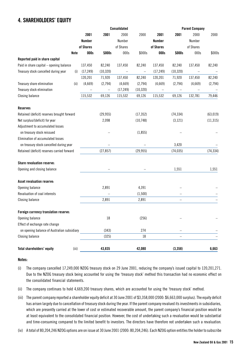# **4. SHAREHOLDERS' EQUITY**

|                                             |               |           | Consolidated      |                   |               |                          | <b>Parent Company</b> |           |
|---------------------------------------------|---------------|-----------|-------------------|-------------------|---------------|--------------------------|-----------------------|-----------|
|                                             | 2001          | 2001      | 2000              | 2000              | 2001          | 2001                     | 2000                  | 2000      |
|                                             | <b>Number</b> |           | Number            |                   | <b>Number</b> |                          | Number                |           |
|                                             | of Shares     |           | of Shares         |                   | of Shares     |                          | of Shares             |           |
| Note                                        | 000s          | \$000s    | 000s              | \$000s            | 000s          | \$000s                   | 000s                  | \$000s    |
| Reported paid in share capital              |               |           |                   |                   |               |                          |                       |           |
| Paid in share capital - opening balance     | 137,450       | 82,240    | 137,450           | 82,240            | 137,450       | 82,240                   | 137,450               | 82,240    |
| Treasury stock cancelled during year<br>(i) | (17, 249)     | (10, 320) | $\qquad \qquad -$ | $\qquad \qquad -$ | (17, 249)     | (10, 320)                |                       |           |
|                                             | 120,201       | 71,920    | 137,450           | 82,240            | 120,201       | 71,920                   | 137,450               | 82,240    |
| Treasury share elimination<br>(ii)          | (4,669)       | (2,794)   | (4,669)           | (2,794)           | (4,669)       | (2,794)                  | (4,669)               | (2,794)   |
| Treasury stock elimination                  |               |           | (17, 249)         | (10, 320)         |               |                          |                       |           |
| <b>Closing balance</b>                      | 115,532       | 69,126    | 115,532           | 69,126            | 115,532       | 69,126                   | 132,781               | 79,446    |
| <b>Reserves</b>                             |               |           |                   |                   |               |                          |                       |           |
| Retained (deficit) reserves brought forward |               | (29, 955) |                   | (17, 352)         |               | (74, 334)                |                       | (63, 019) |
| Net surplus/(deficit) for year              |               | 2,098     |                   | (10,748)          |               | (3, 121)                 |                       | (11, 315) |
| Adjustment to accumulated losses            |               |           |                   |                   |               |                          |                       |           |
| on treasury stock reissued                  |               |           |                   | (1, 855)          |               |                          |                       |           |
| Elimination of accumulated losses           |               |           |                   |                   |               |                          |                       |           |
| on treasury stock cancelled during year     |               |           |                   |                   |               | 3,420                    |                       |           |
| Retained (deficit) reserves carried forward |               | (27, 857) |                   | (29, 955)         |               | (74, 035)                |                       | (74, 334) |
| Share revaluation reserve:                  |               |           |                   |                   |               |                          |                       |           |
| Opening and closing balance                 |               |           |                   |                   |               | 1,551                    |                       | 1,551     |
|                                             |               |           |                   |                   |               |                          |                       |           |
| Asset revaluation reserve:                  |               |           |                   |                   |               |                          |                       |           |
| Opening balance                             |               | 2,891     |                   | 4,391             |               |                          |                       |           |
| Revaluation of coal interests               |               |           |                   | (1,500)           |               |                          |                       |           |
| <b>Closing balance</b>                      |               | 2,891     |                   | 2,891             |               | $\overline{\phantom{0}}$ |                       |           |
| Foreign currency translation reserve:       |               |           |                   |                   |               |                          |                       |           |
| Opening balance                             |               | 18        |                   | (256)             |               |                          |                       |           |
| Effect of exchange rate change              |               |           |                   |                   |               |                          |                       |           |
| on opening balance of Australian subsidiary |               | (343)     |                   | 274               |               |                          |                       |           |
| <b>Closing balance</b>                      |               | (325)     |                   | 18                |               |                          |                       |           |
| Total shareholders' equity<br>(iii)         |               | 43,835    |                   | 42,080            |               | (3, 358)                 |                       | 6,663     |

#### **Notes:**

- (i) The company cancelled 17,249,000 NZOG treasury stock on 29 June 2001, reducing the company's issued capital to 120,201,271. Due to the NZOG treasury stock being accounted for using the 'treasury stock' method this transaction had no economic effect on the consolidated financial statements.
- (ii) The company continues to hold 4,669,200 treasury shares, which are accounted for using the 'treasury stock' method.
- (iii) The parent company reported a shareholder equity deficit at 30 June 2001 of \$3,358,000 (2000: \$6,663,000 surplus). The equity deficit has arisen largely due to cancellation of treasury stock during the year. If the parent company revalued its investments in subsidiaries, which are presently carried at the lower of cost or estimated recoverable amount, the parent company's financial position would be at least equivalent to the consolidated financial position. However, the cost of undertaking such a revaluation would be substantial and time-consuming compared to the limited benefit to investors. The directors have therefore not undertaken such a revaluation.
- (iv) A total of 80,204,246 NZOG options are on issue at 30 June 2001 (2000: 80,204,246). Each NZOG option entitles the holder to subscribe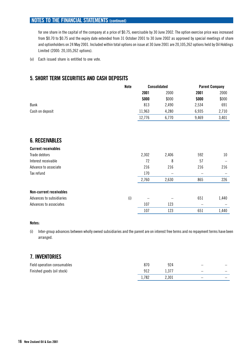for one share in the capital of the company at a price of \$0.75, exercisable by 30 June 2002. The option exercise price was increased from \$0.70 to \$0.75 and the expiry date extended from 31 October 2001 to 30 June 2002 as approved by special meetings of share and optionholders on 24 May 2001. Included within total options on issue at 30 June 2001 are 20,105,262 options held by Oil Holdings Limited (2000: 20,105,262 options).

(v) Each issued share is entitled to one vote.

# **5. SHORT TERM SECURITIES AND CASH DEPOSITS**

|                                | Note | <b>Consolidated</b> |       | <b>Parent Company</b> |       |  |
|--------------------------------|------|---------------------|-------|-----------------------|-------|--|
|                                |      | 2001                | 2000  | 2001                  | 2000  |  |
|                                |      | \$000               | \$000 | \$000                 | \$000 |  |
| Bank                           |      | 813                 | 2,490 | 2,534                 | 691   |  |
| Cash on deposit                |      | 11,963              | 4,280 | 6,935                 | 2,710 |  |
|                                |      | 12,776              | 6,770 | 9,469                 | 3,401 |  |
|                                |      |                     |       |                       |       |  |
| <b>6. RECEIVABLES</b>          |      |                     |       |                       |       |  |
| <b>Current receivables</b>     |      |                     |       |                       |       |  |
| Trade debtors                  |      | 2,302               | 2,406 | 592                   | 10    |  |
| Interest receivable            |      | 72                  | 8     | 57                    |       |  |
| Advance to associate           |      | 216                 | 216   | 216                   | 216   |  |
| Tax refund                     |      | 170                 |       |                       |       |  |
|                                |      | 2,760               | 2,630 | 865                   | 226   |  |
| <b>Non-current receivables</b> |      |                     |       |                       |       |  |
| Advances to subsidiaries       | (i)  |                     |       | 651                   | 1,440 |  |
| Advances to associates         |      | 107                 | 123   |                       |       |  |
|                                |      | 107                 | 123   | 651                   | 1,440 |  |

#### **Notes:**

(i) Inter-group advances between wholly owned subsidiaries and the parent are on interest free terms and no repayment terms have been arranged.

# **7. INVENTORIES**

| Field operation consumables |       | 924   |                          |                          |
|-----------------------------|-------|-------|--------------------------|--------------------------|
| Finished goods (oil stock)  | 912   | 1.377 | $\overline{\phantom{0}}$ | $\overline{\phantom{a}}$ |
|                             | 1,782 | 2,301 | $\qquad \qquad$          |                          |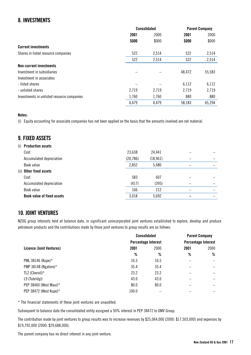# **8. INVESTMENTS**

|                                            | <b>Consolidated</b> |       | <b>Parent Company</b> |        |
|--------------------------------------------|---------------------|-------|-----------------------|--------|
|                                            | 2001                | 2000  | 2001                  | 2000   |
|                                            | \$000               | \$000 | \$000                 | \$000  |
| <b>Current investments</b>                 |                     |       |                       |        |
| Shares in listed resource companies        | 522                 | 2,514 | 522                   | 2,514  |
|                                            | 522                 | 2,514 | 522                   | 2,514  |
| <b>Non-current investments</b>             |                     |       |                       |        |
| Investment in subsidiaries                 |                     |       | 48,472                | 55,583 |
| Investment in associates                   |                     |       |                       |        |
| - listed shares                            |                     |       | 6,112                 | 6,112  |
| - unlisted shares                          | 2,719               | 2,719 | 2,719                 | 2,719  |
| Investments in unlisted resource companies | 1,760               | 1,760 | 880                   | 880    |
|                                            | 4,479               | 4,479 | 58,183                | 65,294 |

### **Notes:**

(i) Equity accounting for associate companies has not been applied on the basis that the amounts involved are not material.

# **9. FIXED ASSETS**

| Cost                              | 23,638                                           | 24,441    |  |
|-----------------------------------|--------------------------------------------------|-----------|--|
| Accumulated depreciation          | (20, 786)                                        | (18, 961) |  |
| Book value                        | 2,852                                            | 5,480     |  |
|                                   |                                                  |           |  |
| Cost                              | 583                                              | 607       |  |
| Accumulated depreciation          | (417)                                            | (395)     |  |
| Book value                        | 166                                              | 212       |  |
| <b>Book value of fixed assets</b> | 3,018                                            | 5,692     |  |
|                                   | (i) Production assets<br>(ii) Other fixed assets |           |  |

# **10. JOINT VENTURES**

NZOG group interests held at balance date, in significant unincorporated joint ventures established to explore, develop and produce petroleum products and the contributions made by those joint ventures to group results are as follows:

|                          | <b>Consolidated</b> |                            | <b>Parent Company</b> |                            |
|--------------------------|---------------------|----------------------------|-----------------------|----------------------------|
|                          |                     | <b>Percentage Interest</b> |                       | <b>Percentage Interest</b> |
| Licence (Joint Ventures) | 2001                | 2000                       | 2001                  | 2000                       |
|                          | %                   | %                          | %                     | %                          |
| PML 38146 (Kupe)*        | 16.5                | 16.5                       |                       |                            |
| PMP 38148 (Ngatoro)*     | 35.4                | 35.4                       |                       |                            |
| TL2 (Chervil) $*$        | 23.2                | 23.2                       | -                     | $\overline{\phantom{0}}$   |
| L9 (Tubridgi)            | 43.0                | 43.0                       |                       | -                          |
| PEP 38460 (West Maui)*   | 80.0                | 80.0                       |                       |                            |
| PEP 38472 (West Kupe)*   | 100.0               |                            |                       |                            |

\* The financial statements of these joint ventures are unaudited.

Subsequent to balance date the consolidated entity assigned a 50% interest in PEP 38472 to OMV Group.

The contribution made by joint ventures to group results was to increase revenues by \$25,064,000 (2000: \$17,503,000) and expenses by \$19,792,000 (2000: \$29,688,000).

The parent company has no direct interest in any joint venture.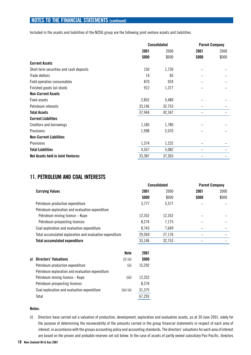Included in the assets and liabilities of the NZOG group are the following joint venture assets and liabilities.

|                                          | <b>Consolidated</b> |        | <b>Parent Company</b> |       |
|------------------------------------------|---------------------|--------|-----------------------|-------|
|                                          | 2001                | 2000   | 2001                  | 2000  |
|                                          | \$000               | \$000  | \$000                 | \$000 |
| <b>Current Assets</b>                    |                     |        |                       |       |
| Short term securities and cash deposits  | 150                 | 1,730  |                       |       |
| Trade debtors                            | 14                  | 83     |                       |       |
| Field operation consumables              | 870                 | 924    |                       |       |
| Finished goods (oil stock)               | 912                 | 1,377  |                       |       |
| <b>Non-Current Assets</b>                |                     |        |                       |       |
| Fixed assets                             | 2,852               | 5,480  |                       |       |
| Petroleum interests                      | 33,146              | 32,753 |                       |       |
| <b>Total Assets</b>                      | 37,944              | 42,347 |                       |       |
| <b>Current Liabilities</b>               |                     |        |                       |       |
| <b>Creditors and borrowings</b>          | 1,185               | 1,780  |                       |       |
| <b>Provisions</b>                        | 1,998               | 2,070  |                       |       |
| <b>Non-Current Liabilities</b>           |                     |        |                       |       |
| Provisions                               | 1,374               | 1,232  |                       |       |
| <b>Total Liabilities</b>                 | 4,557               | 5,082  |                       |       |
| <b>Net Assets held in Joint Ventures</b> | 33,387              | 37,265 |                       |       |
|                                          |                     |        |                       |       |

## **11. PETROLEUM AND COAL INTERESTS**

|  |                                                          |             | <b>Consolidated</b> |        | <b>Parent Company</b> |       |
|--|----------------------------------------------------------|-------------|---------------------|--------|-----------------------|-------|
|  | <b>Carrying Values</b>                                   |             | 2001                | 2000   | 2001                  | 2000  |
|  |                                                          |             | \$000               | \$000  | \$000                 | \$000 |
|  | Petroleum production expenditure                         |             | 3,777               | 5,577  |                       |       |
|  | Petroleum exploration and evaluation expenditure         |             |                     |        |                       |       |
|  | Petroleum mining licence - Kupe                          |             | 12,352              | 12,352 |                       |       |
|  | Petroleum prospecting licences                           |             | 8,274               | 7,175  |                       |       |
|  | Coal exploration and evaluation expenditure              |             | 8,743               | 7,649  |                       |       |
|  | Total accumulated exploration and evaluation expenditure |             | 29,369              | 27,176 |                       |       |
|  | <b>Total accumulated expenditure</b>                     |             | 33,146              | 32,753 |                       |       |
|  |                                                          | Note        | 2001                |        |                       |       |
|  | a) Directors' Valuations                                 | $(i)$ $(v)$ | \$000               |        |                       |       |
|  | Petroleum production expenditure                         | (ii)        | 15,292              |        |                       |       |
|  | Petroleum exploration and evaluation expenditure         |             |                     |        |                       |       |
|  | Petroleum mining licence – Kupe                          | (iii)       | 12,352              |        |                       |       |
|  | Petroleum prospecting licences                           |             | 8,274               |        |                       |       |

#### **Notes:**

(i) Directors have carried out a valuation of production, development, exploration and evaluation assets, as at 30 June 2001, solely for the purpose of determining the recoverability of the amounts carried in the group financial statements in respect of each area of interest, in accordance with the groups accounting policy and accounting standards. The directors' valuations for each area of interest are based on the proven and probable reserves set out below. In the case of assets of partly owned subsidiary Pan Pacific, directors

Coal exploration and evaluation expenditure (iv) (v) 31,375 Total 67,293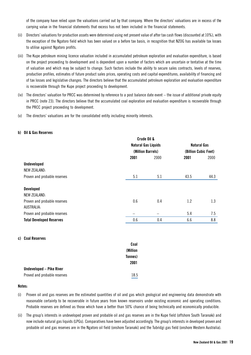of the company have relied upon the valuations carried out by that company. Where the directors' valuations are in excess of the carrying value in the financial statements that excess has not been included in the financial statements.

- (ii) Directors' valuations for production assets were determined using net present value of after tax cash flows (discounted at 10%), with the exception of the Ngatoro field which has been valued on a before tax basis, in recognition that NZOG has available tax losses to utilise against Ngatoro profits.
- (iii) The Kupe petroleum mining licence valuation included in accumulated petroleum exploration and evaluation expenditure, is based on the project proceeding to development and is dependent upon a number of factors which are uncertain or tentative at the time of valuation and which may be subject to change. Such factors include the ability to secure sales contracts, levels of reserves, production profiles, estimates of future product sales prices, operating costs and capital expenditures, availability of financing and of tax losses and legislative changes. The directors believe that the accumulated petroleum exploration and evaluation expenditure is recoverable through the Kupe project proceeding to development.
- (iv) The directors' valuation for PRCC was determined by reference to a post balance date event the issue of additional private equity in PRCC (note 23). The directors believe that the accumulated coal exploration and evaluation expenditure is recoverable through the PRCC project proceeding to development.
- (v) The directors' valuations are for the consolidated entity including minority interests.

#### **b) Oil & Gas Reserves**

|                                 |                                                 | Crude Oil & |                      |                    |  |
|---------------------------------|-------------------------------------------------|-------------|----------------------|--------------------|--|
|                                 | <b>Natural Gas Liquids</b><br>(Million Barrels) |             |                      | <b>Natural Gas</b> |  |
|                                 |                                                 |             | (Billion Cubic Feet) |                    |  |
|                                 | 2001                                            | 2000        | 2001                 | 2000               |  |
| <b>Undeveloped</b>              |                                                 |             |                      |                    |  |
| <b>NEW ZEALAND:</b>             |                                                 |             |                      |                    |  |
| Proven and probable reserves    | 5.1                                             | 5.1         | 43.5                 | 44.3               |  |
|                                 |                                                 |             |                      |                    |  |
| <b>Developed</b>                |                                                 |             |                      |                    |  |
| <b>NEW ZEALAND:</b>             |                                                 |             |                      |                    |  |
| Proven and probable reserves    | 0.6                                             | 0.4         | 1.2                  | 1.3                |  |
| AUSTRALIA:                      |                                                 |             |                      |                    |  |
| Proven and probable reserves    | -                                               |             | 5.4                  | 7.5                |  |
| <b>Total Developed Reserves</b> | 0.6                                             | 0.4         | 6.6                  | 8.8                |  |
|                                 |                                                 |             |                      |                    |  |

#### **c) Coal Reserves**

|                                 | Coal     |
|---------------------------------|----------|
|                                 | (Million |
|                                 | Tonnes)  |
|                                 | 2001     |
| <b>Undeveloped – Pike River</b> |          |
| Proved and probable reserves    | 18.5     |

#### **Notes:**

- (i) Proven oil and gas reserves are the estimated quantities of oil and gas which geological and engineering data demonstrate with reasonable certainty to be recoverable in future years from known reservoirs under existing economic and operating conditions. Probable reserves are defined as those which have a better than 50% chance of being technically and economically producible.
- (ii) The group's interests in undeveloped proven and probable oil and gas reserves are in the Kupe field (offshore South Taranaki) and now include natural gas liquids (LPGs). Comparatives have been adjusted accordingly. The group's interests in developed proven and probable oil and gas reserves are in the Ngatoro oil field (onshore Taranaki) and the Tubridgi gas field (onshore Western Australia).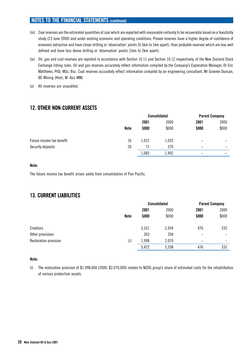- (iii) Coal reserves are the estimated quantities of coal which are expected with reasonable certainty to be recoverable based on a feasibility study (23 June 2000) and under existing economic and operating conditions. Proved reserves have a higher degree of confidence of economic extraction and have closer drilling or 'observation' points (0.5km to 1km apart), than probable reserves which are less well defined and have less dense drilling or 'observation' points (1km to 2km apart).
- (iv) Oil, gas and coal reserves are reported in accordance with Section 10.11 and Section 10.12 respectively, of the New Zealand Stock Exchange listing rules. Oil and gas reserves accurately reflect information compiled by the Company's Exploration Manager, Dr Eric Matthews, PhD, MSc, Bsc. Coal reserves accurately reflect information compiled by an engineering consultant, Mr Graeme Duncan, BE Mining (Hon), M. Aus IMM.
- (v) All reserves are unaudited.

# **12. OTHER NON-CURRENT ASSETS**

|                           |             | <b>Consolidated</b> |       | <b>Parent Company</b> |       |
|---------------------------|-------------|---------------------|-------|-----------------------|-------|
|                           |             | 2001                | 2000  | 2001                  | 2000  |
|                           | <b>Note</b> | \$000               | \$000 | \$000                 | \$000 |
| Future income tax benefit | 16          | 1,012               | 1,032 |                       |       |
| Security deposits         | 20          | 71                  | 370   | -                     | -     |
|                           |             | 1,083               | 1,402 |                       | -     |

#### **Note:**

The future income tax benefit arises solely from consolidation of Pan Pacific.

# **13. CURRENT LIABILITIES**

|                       |             | <b>Consolidated</b> |       | <b>Parent Company</b> |                          |
|-----------------------|-------------|---------------------|-------|-----------------------|--------------------------|
|                       |             | 2001                | 2000  | 2001                  | 2000                     |
|                       | <b>Note</b> | \$000               | \$000 | \$000                 | \$000                    |
| Creditors             |             | 3,161               | 2,934 | 476                   | 332                      |
| Other provisions      |             | 263                 | 204   | -                     | $\overline{\phantom{0}}$ |
| Restoration provision | (i)         | 1,998               | 2,070 | -                     | -                        |
|                       |             | 5,422               | 5,208 | 476                   | 332                      |

#### **Note:**

(i) The restoration provision of \$1,998,000 (2000: \$2,070,000) relates to NZOG group's share of estimated costs for the rehabilitation of various production assets.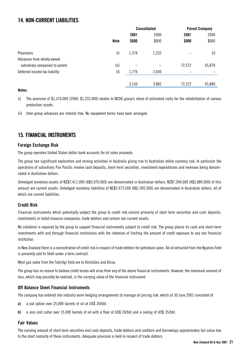# **14. NON-CURRENT LIABILITIES**

|                                | <b>Consolidated</b> |       | <b>Parent Company</b> |        |        |
|--------------------------------|---------------------|-------|-----------------------|--------|--------|
|                                |                     | 2001  | 2000                  | 2001   | 2000   |
|                                | <b>Note</b>         | \$000 | \$000                 | \$000  | \$000  |
| Provisions                     | (i)                 | 1,374 | 1,232                 |        | 10     |
| Advances from wholly owned     |                     |       |                       |        |        |
| subsidiary companies to parent | (ii)                |       |                       | 72,572 | 65,870 |
| Deferred income tax liability  | 16                  | 1,776 | 2,650                 |        |        |
|                                |                     |       |                       |        |        |
|                                |                     | 3,150 | 3,882                 | 72,572 | 65,880 |

### **Notes:**

(i) The provision of \$1,374,000 (2000: \$1,232,000) relates to NZOG group's share of estimated costs for the rehabilitation of various production assets.

(ii) Inter-group advances are interest free. No repayment terms have been arranged.

# **15. FINANCIAL INSTRUMENTS**

### **Foreign Exchange Risk**

The group operates United States dollar bank accounts for oil sales proceeds.

The group has significant exploration and mining activities in Australia giving rise to Australian dollar currency risk. In particular the operations of subsidiary, Pan Pacific involve cash deposits, short-term securities, investment expenditures and revenues being denominated in Australian dollars.

Unhedged monetary assets of NZ\$7,411,000 (A\$5,970,000) are denominated in Australian dollars; NZ\$7,304,000 (A\$5,884,000) of this amount are current assets. Unhedged monetary liabilities of NZ\$2,473,000 (A\$1,992,000) are denominated in Australian dollars, all of which are current liabilities.

### **Credit Risk**

Financial instruments which potentially subject the group to credit risk consist primarily of short term securities and cash deposits, investments in listed resource companies, trade debtors and certain non current assets.

No collateral is required by the group to support financial instruments subject to credit risk. The group places its cash and short-term investments with and through financial institutions with the intention of limiting the amount of credit exposure to any one financial institution.

In New Zealand there is a concentration of credit risk in respect of trade debtors for petroleum sales. All oil extracted from the Ngatoro field is presently sold to Shell under a term contract.

Most gas sales from the Tubridgi field are to AlintaGas and Alcoa.

The group has no reason to believe credit losses will arise from any of the above financial instruments. However, the maximum amount of loss, which may possibly be realised, is the carrying value of the financial instrument.

### **Off Balance Sheet Financial Instruments**

The company has entered into industry norm hedging arrangements to manage oil pricing risk, which at 30 June 2001 consisted of:

- **a)** a put option over 25,000 barrels of oil at US\$ 20/bbl.
- **b)** a zero cost collar over 15,000 barrels of oil with a floor of US\$ 20/bbl and a ceiling of US\$ 35/bbl.

### **Fair Values**

The carrying amount of short term securities and cash deposits, trade debtors and creditors and borrowings approximates fair value due to the short maturity of these instruments. Adequate provision is held in respect of trade debtors.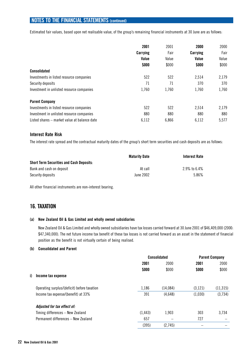Estimated fair values, based upon net realisable value, of the group's remaining financial instruments at 30 June are as follows:

|                                              | 2001     | 2001  | 2000     | 2000  |
|----------------------------------------------|----------|-------|----------|-------|
|                                              | Carrying | Fair  | Carrying | Fair  |
|                                              | Value    | Value | Value    | Value |
|                                              | \$000    | \$000 | \$000    | \$000 |
| <b>Consolidated</b>                          |          |       |          |       |
| Investments in listed resource companies     | 522      | 522   | 2,514    | 2,179 |
| Security deposits                            | 71       | 71    | 370      | 370   |
| Investment in unlisted resource companies    | 1,760    | 1,760 | 1,760    | 1,760 |
| <b>Parent Company</b>                        |          |       |          |       |
| Investments in listed resource companies     | 522      | 522   | 2,514    | 2,179 |
| Investment in unlisted resource companies    | 880      | 880   | 880      | 880   |
| Listed shares – market value at balance date | 6,112    | 6,866 | 6,112    | 5,577 |

#### **Interest Rate Risk**

The interest rate spread and the contractual maturity dates of the group's short term securities and cash deposits are as follows:

|                                                 | <b>Maturity Date</b> | Interest Rate |
|-------------------------------------------------|----------------------|---------------|
| <b>Short Term Securities and Cash Deposits:</b> |                      |               |
| Bank and cash on deposit                        | At call              | 2.9% to 6.4%  |
| Security deposits                               | June 2002            | 5.86%         |

All other financial instruments are non-interest bearing.

# **16. TAXATION**

#### **(a) New Zealand Oil & Gas Limited and wholly owned subsidiaries**

New Zealand Oil & Gas Limited and wholly owned subsidiaries have tax losses carried forward at 30 June 2001 of \$46,409,000 (2000: \$47,340,000). The net future income tax benefit of these tax losses is not carried forward as an asset in the statement of financial position as the benefit is not virtually certain of being realised.

#### **(b) Consolidated and Parent**

|                                             | <b>Consolidated</b> |          | <b>Parent Company</b> |           |
|---------------------------------------------|---------------------|----------|-----------------------|-----------|
|                                             | 2001                | 2000     | 2001                  | 2000      |
|                                             | \$000               | \$000    | \$000                 | \$000     |
| Income tax expense                          |                     |          |                       |           |
| Operating surplus/(deficit) before taxation | 1,186               | (14,084) | (3, 121)              | (11, 315) |
| Income tax expense/(benefit) at 33%         | 391                 | (4,648)  | (1,030)               | (3,734)   |
| Adjusted for tax effect of:                 |                     |          |                       |           |
| Timing differences – New Zealand            | (1, 443)            | 1,903    | 303                   | 3,734     |
| Permanent differences - New Zealand         | 657                 |          | 727                   |           |
|                                             | (395)               | (2,745)  |                       |           |
|                                             |                     |          |                       |           |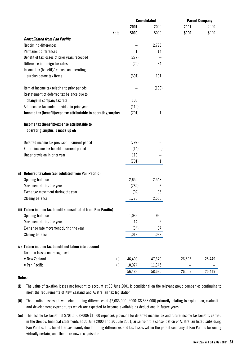|       |                                                                                        |        | <b>Consolidated</b> |        | <b>Parent Company</b> |
|-------|----------------------------------------------------------------------------------------|--------|---------------------|--------|-----------------------|
|       |                                                                                        | 2001   | 2000                | 2001   | 2000                  |
|       | <b>Note</b>                                                                            | \$000  | \$000               | \$000  | \$000                 |
|       | <b>Consolidated from Pan Pacific:</b>                                                  |        |                     |        |                       |
|       | Net timing differences                                                                 |        | 2,798               |        |                       |
|       | Permanent differences                                                                  | 1      | 14                  |        |                       |
|       | Benefit of tax losses of prior years recouped                                          | (277)  |                     |        |                       |
|       | Difference in foreign tax rates                                                        | (20)   | 34                  |        |                       |
|       | Income tax (benefit)/expense on operating                                              |        |                     |        |                       |
|       | surplus before tax items                                                               | (691)  | 101                 |        |                       |
|       | Item of income tax relating to prior periods                                           |        | (100)               |        |                       |
|       | Restatement of deferred tax balance due to                                             |        |                     |        |                       |
|       | change in company tax rate                                                             | 100    |                     |        |                       |
|       | Add income tax under provided in prior year                                            | (110)  |                     |        |                       |
|       | Income tax (benefit)/expense attributable to operating surplus                         | (701)  | $\mathbf{1}$        |        |                       |
|       | Income tax (benefit)/expense attributable to<br>operating surplus is made up of:       |        |                     |        |                       |
|       | Deferred income tax provision - current period                                         | (797)  | 6                   |        |                       |
|       | Future income tax benefit - current period                                             | (14)   | (5)                 |        |                       |
|       | Under provision in prior year                                                          | 110    |                     |        |                       |
|       |                                                                                        | (701)  | $\mathbf{1}$        |        |                       |
| ii).  | <b>Deferred taxation (consolidated from Pan Pacific)</b>                               |        |                     |        |                       |
|       | Opening balance                                                                        | 2,650  | 2,548               |        |                       |
|       | Movement during the year                                                               | (782)  | 6                   |        |                       |
|       | Exchange movement during the year                                                      | (92)   | 96                  |        |                       |
|       | <b>Closing balance</b>                                                                 | 1,776  | 2,650               |        |                       |
|       | iii) Future income tax benefit (consolidated from Pan Pacific)                         |        |                     |        |                       |
|       | Opening balance                                                                        | 1,032  | 990                 |        |                       |
|       | Movement during the year                                                               | 14     | 5                   |        |                       |
|       | Exchange rate movement during the year                                                 | (34)   | 37                  |        |                       |
|       | <b>Closing balance</b>                                                                 | 1,012  | 1,032               |        |                       |
|       | iv) Future income tax benefit not taken into account<br>Taxation losses not recognised |        |                     |        |                       |
|       | • New Zealand<br>(i)                                                                   | 46,409 | 47,340              | 26,503 | 25,449                |
|       | • Pan Pacific<br>(i)                                                                   | 10,074 | 11,345              |        |                       |
|       |                                                                                        | 56,483 | 58,685              | 26,503 | 25,449                |
| تمدما |                                                                                        |        |                     |        |                       |

#### **Notes:**

- (i) The value of taxation losses not brought to account at 30 June 2001 is conditional on the relevant group companies continuing to meet the requirements of New Zealand and Australian tax legislation.
- (ii) The taxation losses above include timing differences of \$7,683,000 (2000: \$8,538,000) primarily relating to exploration, evaluation and development expenditures which are expected to become available as deductions in future years.
- (iii) The income tax benefit of \$701,000 (2000: \$1,000 expense), provision for deferred income tax and future income tax benefits carried in the Group's financial statements at 30 June 2000 and 30 June 2001, arise from the consolidation of Australian listed subsidiary, Pan Pacific. This benefit arises mainly due to timing differences and tax losses within the parent company of Pan Pacific becoming virtually certain, and therefore now recognisable.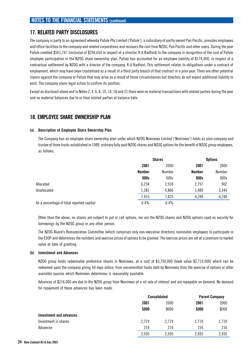# **17. RELATED PARTY DISCLOSURES**

The company is party to an agreement whereby Pafule Pty Limited ('Pafule'), a subsidiary of partly owned Pan Pacific, provides employees and office facilities to the company and related corporations and recovers the cost from NZOG, Pan Pacific and other users. During the year Pafule credited \$561,747 (inclusive of \$294,654 in respect of a director, R A Radford) to the company in recognition of the cost of Pafule employee participation in the NZOG share ownership plan. Pafule has accounted for an employee liability of \$174,000, in respect of a contractual settlement by NZOG with a director of the company, R A Radford. This settlement relates to obligations under a contract of employment, which may have been crystallised as a result of a third party breach of that contract in a prior year. There are other potential claims against the company or Pafule that may arise as a result of those circumstances but directors do not expect additional liability to exist. The company plans legal action to confirm its position.

Except as disclosed above and in Notes 2, 4, 6, 8, 10, 14, 18 and 21 there were no material transactions with related parties during the year and no material balances due to or from related parties at balance date.

# **18. EMPLOYEE SHARE OWNERSHIP PLAN**

#### **(a) Description of Employee Share Ownership Plan**

The Company has an employee share ownership plan under which NZOG Nominees Limited ('Nominees') holds as plan company and trustee of three trusts established in 1989, ordinary fully paid NZOG shares and NZOG options for the benefit of NZOG group employees, as follows:

|                                           | <b>Shares</b> |               | <b>Options</b> |        |
|-------------------------------------------|---------------|---------------|----------------|--------|
|                                           | 2001          | 2000          | 2001           | 2000   |
|                                           | <b>Number</b> | <b>Number</b> | Number         | Number |
|                                           | 000s          | 000s          | 000s           | 000s   |
| Allocated                                 | 6,234         | 2,559         | 2,757          | 902    |
| Unallocated                               | 1,181         | 4,866         | 1,489          | 3,344  |
|                                           | 7,415         | 7,425         | 4,246          | 4,246  |
| As a percentage of total reported capital | 6.4%          | 6.4%          |                |        |

Other than the above, no shares are subject to put or call options, nor are the NZOG shares and NZOG options used as security for borrowings by the NZOG group or any other person.

The NZOG Board's Remuneration Committee (which comprises only non-executive directors) nominates employees to participate in the ESOP and determines the numbers and exercise prices of options to be granted. The exercise prices are set at a premium to market value at date of granting.

#### **(b) Investment and Advances**

NZOG group holds redeemable preference shares in Nominees, at a cost of \$3,750,000 (book value \$2,719,000) which can be redeemed upon the company giving 60 days notice, from uncommitted funds held by Nominees from the exercise of options or other available sources which Nominees determines is reasonably available.

Advances of \$216,000 are due to the NZOG group from Nominees at a nil rate of interest and are repayable on demand. No demand for repayment of these advances has been made.

|                         |       | <b>Consolidated</b> |       | <b>Parent Company</b> |
|-------------------------|-------|---------------------|-------|-----------------------|
|                         | 2001  | 2000                | 2001  | 2000                  |
|                         | \$000 | \$000               | \$000 | \$000                 |
| Investment and advances |       |                     |       |                       |
| Investment in shares    | 2,719 | 2,719               | 2,719 | 2,719                 |
| Advances                | 216   | 216                 | 216   | 216                   |
|                         | 2,935 | 2,935               | 2,935 | 2,935                 |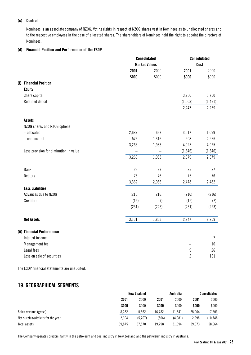#### **(c) Control**

Nominees is an associate company of NZOG. Voting rights in respect of NZOG shares vest in Nominees as to unallocated shares and to the respective employees in the case of allocated shares. The shareholders of Nominees hold the right to appoint the directors of Nominees.

#### **(d) Financial Position and Performance of the ESOP**

|      |                                        |       | <b>Consolidated</b>  |                          | <b>Consolidated</b> |
|------|----------------------------------------|-------|----------------------|--------------------------|---------------------|
|      |                                        |       | <b>Market Values</b> |                          | Cost                |
|      |                                        | 2001  | 2000                 | 2001                     | 2000                |
|      |                                        | \$000 | \$000                | \$000                    | \$000               |
|      | (i) Financial Position                 |       |                      |                          |                     |
|      | <b>Equity</b>                          |       |                      |                          |                     |
|      | Share capital                          |       |                      | 3,750                    | 3,750               |
|      | <b>Retained deficit</b>                |       |                      | (1, 503)                 | (1, 491)            |
|      |                                        |       |                      | 2,247                    | 2,259               |
|      | <b>Assets</b>                          |       |                      |                          |                     |
|      | NZOG shares and NZOG options           |       |                      |                          |                     |
|      | $-$ allocated                          | 2,687 | 667                  | 3,517                    | 1,099               |
|      | $-$ unallocated                        | 576   | 1,316                | 508                      | 2,926               |
|      |                                        | 3,263 | 1,983                | 4,025                    | 4,025               |
|      | Less provision for diminution in value |       |                      | (1,646)                  | (1,646)             |
|      |                                        | 3,263 | 1,983                | 2,379                    | 2,379               |
| Bank |                                        | 23    | 27                   | 23                       | 27                  |
|      | Debtors                                | 76    | 76                   | 76                       | 76                  |
|      |                                        | 3,362 | 2,086                | 2,478                    | 2,482               |
|      | <b>Less Liabilities</b>                |       |                      |                          |                     |
|      | Advances due to NZOG                   | (216) | (216)                | (216)                    | (216)               |
|      | Creditors                              | (15)  | (7)                  | (15)                     | (7)                 |
|      |                                        | (231) | (223)                | (231)                    | (223)               |
|      | <b>Net Assets</b>                      | 3,131 | 1,863                | 2,247                    | 2,259               |
|      | (ii) Financial Performance             |       |                      |                          |                     |
|      | Interest income                        |       |                      |                          | $\overline{7}$      |
|      | Management fee                         |       |                      | $\overline{\phantom{0}}$ | 10                  |
|      | Legal fees                             |       |                      | $\boldsymbol{9}$         | 26                  |
|      | Loss on sale of securities             |       |                      | $\overline{2}$           | 161                 |
|      |                                        |       |                      |                          |                     |

The ESOP financial statements are unaudited.

# **19. GEOGRAPHICAL SEGMENTS**

|                                    |        | <b>New Zealand</b> |        | Australia | Consolidated |           |
|------------------------------------|--------|--------------------|--------|-----------|--------------|-----------|
|                                    | 2001   | 2000               | 2001   | 2000      | 2001         | 2000      |
|                                    | \$000  | \$000              | \$000  | \$000     | \$000        | \$000     |
| Sales revenue (gross)              | 8.282  | 5.662              | 16.782 | 11.841    | 25.064       | 17,503    |
| Net surplus/(deficit) for the year | 2.604  | (5.767)            | (506)  | (4.981)   | 2.098        | (10, 748) |
| Total assets                       | 39.875 | 37.570             | 19.798 | 21.094    | 59.673       | 58.664    |

The Company operates predominantly in the petroleum and coal industry in New Zealand and the petroleum industry in Australia.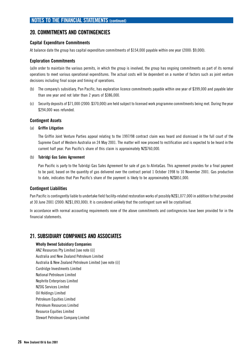# **20. COMMITMENTS AND CONTINGENCIES**

### **Capital Expenditure Commitments**

At balance date the group has capital expenditure commitments of \$154,000 payable within one year (2000: \$9,000).

### **Exploration Commitments**

(a)In order to maintain the various permits, in which the group is involved, the group has ongoing commitments as part of its normal operations to meet various operational expenditures. The actual costs will be dependent on a number of factors such as joint venture decisions including final scope and timing of operations.

- (b) The company's subsidiary, Pan Pacific, has exploration licence commitments payable within one year of \$399,000 and payable later than one year and not later than 2 years of \$386,000.
- (c) Security deposits of \$71,000 (2000: \$370,000) are held subject to licensed work programme commitments being met. During the year \$294,000 was refunded.

#### **Contingent Assets**

#### (a) **Griffin Litigation**

The Griffin Joint Venture Parties appeal relating to the 1997/98 contract claim was heard and dismissed in the full court of the Supreme Court of Western Australia on 24 May 2001. The matter will now proceed to rectification and is expected to be heard in the current half year. Pan Pacific's share of this claim is approximately NZ\$760,000.

#### (b) **Tubridgi Gas Sales Agreement**

Pan Pacific is party to the Tubridgi Gas Sales Agreement for sale of gas to AlintaGas. This agreement provides for a final payment to be paid, based on the quantity of gas delivered over the contract period 1 October 1998 to 10 November 2001. Gas production to date, indicates that Pan Pacific's share of the payment is likely to be approximately NZ\$851,000.

#### **Contingent Liabilities**

Pan Pacific is contingently liable to undertake field facility-related restoration works of possibly NZ\$1,077,000 in addition to that provided at 30 June 2001 (2000: NZ\$1,093,000). It is considered unlikely that the contingent sum will be crystallised.

In accordance with normal accounting requirements none of the above commitments and contingencies have been provided for in the financial statements.

### **21. SUBSIDIARY COMPANIES AND ASSOCIATES**

#### **Wholly Owned Subsidiary Companies**

ANZ Resources Pty Limited [see note (i)] Australia and New Zealand Petroleum Limited Australia & New Zealand Petroleum Limited [see note (i)] Curdridge Investments Limited National Petroleum Limited Nephrite Enterprises Limited NZOG Services Limited Oil Holdings Limited Petroleum Equities Limited Petroleum Resources Limited Resource Equities Limited Stewart Petroleum Company Limited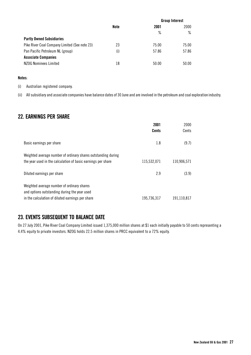|                                               |      | <b>Group Interest</b> |       |
|-----------------------------------------------|------|-----------------------|-------|
|                                               | Note | 2001                  | 2000  |
|                                               |      | ℅                     | ℅     |
| <b>Partly Owned Subsidiaries</b>              |      |                       |       |
| Pike River Coal Company Limited (See note 23) | 23   | 75.00                 | 75.00 |
| Pan Pacific Petroleum NL (group)              | (i)  | 57.86                 | 57.86 |
| <b>Associate Companies</b>                    |      |                       |       |
| NZOG Nominees Limited                         | 18   | 50.00                 | 50.00 |

#### **Notes**:

(i) Australian registered company.

(ii) All subsidiary and associate companies have balance dates of 30 June and are involved in the petroleum and coal exploration industry.

# **22. EARNINGS PER SHARE**

|                                                                                                                                                | 2001<br><b>Cents</b> | 2000<br>Cents |
|------------------------------------------------------------------------------------------------------------------------------------------------|----------------------|---------------|
| Basic earnings per share                                                                                                                       | 1.8                  | (9.7)         |
| Weighted average number of ordinary shares outstanding during<br>the year used in the calculation of basic earnings per share                  | 115,532,071          | 110,906,571   |
| Diluted earnings per share                                                                                                                     | 2.9                  | (3.9)         |
| Weighted average number of ordinary shares<br>and options outstanding during the year used<br>in the calculation of diluted earnings per share | 195,736,317          | 191,110,817   |

# **23. EVENTS SUBSEQUENT TO BALANCE DATE**

On 27 July 2001, Pike River Coal Company Limited issued 1,375,000 million shares at \$1 each initially payable to 50 cents representing a 4.4% equity to private investors. NZOG holds 22.5 million shares in PRCC equivalent to a 72% equity.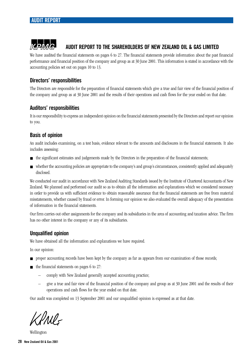# **AUDIT REPORT TO THE SHAREHOLDERS OF NEW ZEALAND OIL & GAS LIMITED**

We have audited the financial statements on pages 6 to 27. The financial statements provide information about the past financial performance and financial position of the company and group as at 30 June 2001. This information is stated in accordance with the accounting policies set out on pages 10 to 13.

# **Directors' responsibilities**

The Directors are responsible for the preparation of financial statements which give a true and fair view of the financial position of the company and group as at 30 June 2001 and the results of their operations and cash flows for the year ended on that date.

# **Auditors' responsibilities**

It is our responsibility to express an independent opinion on the financial statements presented by the Directors and report our opinion to you.

# **Basis of opinion**

An audit includes examining, on a test basis, evidence relevant to the amounts and disclosures in the financial statements. It also includes assessing:

- the significant estimates and judgements made by the Directors in the preparation of the financial statements;
- whether the accounting policies are appropriate to the company's and group's circumstances, consistently applied and adequately disclosed.

We conducted our audit in accordance with New Zealand Auditing Standards issued by the Institute of Chartered Accountants of New Zealand. We planned and performed our audit so as to obtain all the information and explanations which we considered necessary in order to provide us with sufficient evidence to obtain reasonable assurance that the financial statements are free from material misstatements, whether caused by fraud or error. In forming our opinion we also evaluated the overall adequacy of the presentation of information in the financial statements.

Our firm carries out other assignments for the company and its subsidiaries in the area of accounting and taxation advice. The firm has no other interest in the company or any of its subsidiaries.

# **Unqualified opinion**

We have obtained all the information and explanations we have required.

In our opinion:

- proper accounting records have been kept by the company as far as appears from our examination of those records;
- the financial statements on pages 6 to 27:
	- comply with New Zealand generally accepted accounting practice;
	- give a true and fair view of the financial position of the company and group as at 30 June 2001 and the results of their operations and cash flows for the year ended on that date.

Our audit was completed on 13 September 2001 and our unqualified opinion is expressed as at that date.

DNI-

Wellington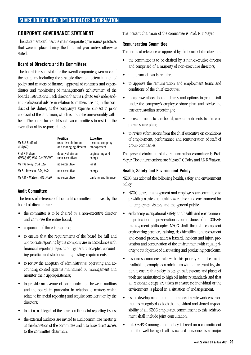# **CORPORATE GOVERNANCE STATEMENT**

This statement outlines the main corporate governance practices that were in place during the financial year unless otherwise stated.

### **Board of Directors and its Committees**

The board is responsible for the overall corporate governance of the company including the strategic direction, determination of policy and matters of finance, approval of contracts and expenditures and monitoring of management's achievement of the board's instructions. Each director has the right to seek independent professional advice in relation to matters arising in the conduct of his duties, at the company's expense, subject to prior approval of the chairman, which is not to be unreasonably withheld. The board has established two committees to assist in the execution of its responsibilities.

| Mr R A Radford<br><i>ACA(NZ)</i>            | <b>Position</b><br>executive chairman<br>and managing director | <b>Expertise</b><br>resource company<br>management |
|---------------------------------------------|----------------------------------------------------------------|----------------------------------------------------|
| Prof R F Meyer<br>ONZM, BE, PhD, DistFIPENZ | deputy chairman<br>(non-executive)                             | engineering and<br>energy                          |
| Mr P G Foley, BCA, LLB                      | non-executive                                                  | legal                                              |
| Mr S J Rawson, BSc, MSc                     | non-executive                                                  | energy                                             |
| Mr A K R Watson, AM, FAIBF                  | non-executive                                                  | banking and finance                                |

### **Audit Committee**

The terms of reference of the audit committee approved by the board of directors are:

- the committee is to be chaired by a non-executive director and comprise the entire board;
- a quorum of three is required;
- to ensure that the requirements of the board for full and appropriate reporting by the company are in accordance with financial reporting legislation, generally accepted accounting practice and stock exchange listing requirements;
- to review the adequacy of administrative, operating and accounting control systems maintained by management and monitor their appropriateness;
- to provide an avenue of communication between auditors and the board, in particular in relation to matters which relate to financial reporting and require consideration by the directors;
- to act as a delegate of the board on financial reporting issues;
- the external auditors are invited to audit committee meetings at the discretion of the committee and also have direct access to the committee chairman.

The present chairman of the committee is Prof. R F Meyer.

### **Remuneration Committee**

The terms of reference as approved by the board of directors are:

- the committee is to be chaired by a non-executive director and comprised of a majority of non-executive directors;
- a quorum of two is required;
- to approve the remuneration and employment terms and conditions of the chief executive;
- to approve allocations of shares and options to group staff under the company's employee share plan and advise the trustee/custodian accordingly;
- to recommend to the board, any amendments to the employee share plan;
- to review submissions from the chief executive on conditions of employment, performance and remuneration of staff of group companies.

The present chairman of the remuneration committee is Prof. Meyer. The other members are Messrs P G Foley and A K R Watson.

### **Health, Safety and Environment Policy**

NZOG has adopted the following health, safety and environment policy:

- NZOG board, management and employees are committed to providing a safe and healthy workplace and environment for all employees, visitors and the general public.
- embracing occupational safety and health and environmental protection and preservation as cornerstones of our OSH&E management philosophy, NZOG shall through: competent engineering practice, training, risk identification, assessment and control process, address hazard, incident and injury prevention and conservation of the environment with equal priority to its objective of discovering and producing petroleum.
- resources commensurate with this priority shall be made available to comply as a minimum with all relevant legislation to ensure that safety in design, safe systems and places of work are maintained to high oil industry standards and that all reasonable steps are taken to ensure no individual or the environment is placed in a situation of endangerment.
- as the development and maintenance of a safe work environment is recognised as both the individual and shared responsibility of all NZOG employees, commitment to this achievement shall include joint consultation.
- this OSH&E management policy is based on a commitment that the well-being of all associated personnel is a major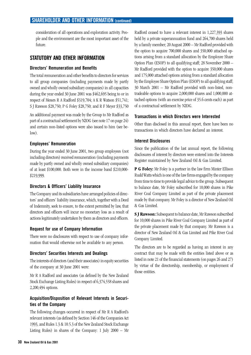consideration of all operations and exploration activity. People and the environment are the most important asset of the future.

# **STATUTORY AND OTHER INFORMATION**

### **Directors' Remuneration and Benefits**

The total remuneration and other benefits to directors for services to all group companies (including payments made by partly owned and wholly owned subsidiary companies) in all capacities during the year ended 30 June 2001 was \$462,695 being to or in respect of Messrs R A Radford \$319,704; A K R Watson \$51,741; S J Rawson \$28,750; P G Foley \$28,750; and R F Meyer \$33,750

An additional payment was made by the Group to Mr Radford as part of a contractual settlement by NZOG (see note 17 on page 24) and certain non-listed options were also issued to him (see below).

### **Employees' Remuneration**

During the year ended 30 June 2001, two group employees (not including directors) received remuneration (including payments made by partly owned and wholly owned subsidiary companies) of at least \$100,000. Both were in the income band \$210,000- \$219,999.

### **Directors & Officers' Liability Insurance**

The Company and its subsidiaries have arranged policies of directors' and officers' liability insurance, which, together with a Deed of Indemnity, seek to ensure, to the extent permitted by law, that directors and officers will incur no monetary loss as a result of actions legitimately undertaken by them as directors and officers.

#### **Request for use of Company Information**

There were no disclosures with respect to use of company information that would otherwise not be available to any person.

### **Directors' Securities Interests and Dealings**

The interests of directors (and their associates) in equity securities of the company at 30 June 2001 were:

Mr R A Radford and associates (as defined by the New Zealand Stock Exchange Listing Rules) in respect of 6,374,558 shares and 2,200,494 options.

### **Acquisition/Disposition of Relevant Interests in Securities of the Company**

The following changes occurred in respect of Mr R A Radford's relevant interests (as defined by Section 146 of the Companies Act 1993, and Rules 1.3 & 10.5.3 of the New Zealand Stock Exchange Listing Rules) in shares of the Company: 1 July 2000 – Mr

Radford ceased to have a relevant interest in 1,227,393 shares held by a private superannuation fund and 264,700 shares held by a family member; 20 August 2000 – Mr Radford provided with the option to acquire 700,000 shares and 350,000 attached options arising from a standard allocation by the Employee Share Option Plan (ESOP) to all qualifying staff; 28 November 2000 – Mr Radford provided with the option to acquire 350,000 shares and 175,000 attached options arising from a standard allocation by the Employee Share Option Plan (ESOP) to all qualifying staff; 30 March 2001 – Mr Radford provided with non-listed, nontradeable options to acquire 2,000,000 shares and 1,000,000 attached options (with an exercise price of 35.6 cents each) as part of a contractual settlement by NZOG.

### **Transactions in which Directors were Interested**

Other than disclosed in this annual report, there have been no transactions in which directors have declared an interest.

### **Interest Disclosures**

Since the publication of the last annual report, the following disclosures of interest by directors were entered into the Interests Register maintained by New Zealand Oil & Gas Limited.

**P G Foley:** Mr Foley is a partner in the law firm Minter Ellison Rudd Watts which is one of the law firms engaged by the company from time to time to provide legal advice to the group. Subsequent to balance date, Mr Foley subscribed for 10,000 shares in Pike River Coal Company Limited as part of the private placement made by that company. Mr Foley is a director of New Zealand Oil & Gas Limited.

**S J Rawson:** Subsequent to balance date, Mr Rawson subscribed for 10,000 shares in Pike River Coal Company Limited as part of the private placement made by that company. Mr Rawson is a director of New Zealand Oil & Gas Limited and Pike River Coal Company Limited.

The directors are to be regarded as having an interest in any contract that may be made with the entities listed above or as listed in note 21 of the financial statements (on pages 26 and 27) by virtue of the directorship, membership, or employment of those entities.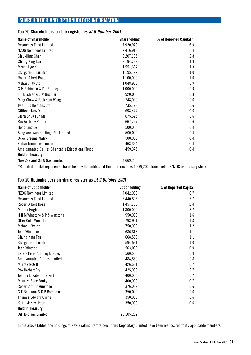# **SHAREHOLDER AND OPTIONHOLDER INFORMATION**

### **Top 20 Shareholders on the register as at 9 October 2001**

| <b>Name of Shareholder</b>                       | <b>Shareholding</b> | % of Reported Capital * |
|--------------------------------------------------|---------------------|-------------------------|
| Resources Trust Limited                          | 7,920,970           | 6.9                     |
| NZOG Nominees Limited                            | 7,416,918           | 6.4                     |
| Chiu-Hing Chan                                   | 3,207,185           | 2.8                     |
| Chung King Tan                                   | 2,194,727           | 1.9                     |
| Merrill Lynch                                    | 1,551,604           | 1.3                     |
| Stargate Oil Limited                             | 1,195,122           | 1.0                     |
| <b>Robert Albert Boas</b>                        | 1,100,000           | 1.0                     |
| Mehasu Pty Ltd                                   | 1,048,900           | 0.9                     |
| G M Robinson & D J Bradley                       | 1,000,000           | 0.9                     |
| F A Buchler & S M Buchler                        | 920,000             | 0.8                     |
| Ming Chow & Fook Kom Wong                        | 748,000             | 0.6                     |
| <b>Tyrannus Holdings Ltd</b>                     | 735,178             | 0.6                     |
| Citibank New York                                | 693,477             | 0.6                     |
| Clara Shuk Fun Ma                                | 675,625             | 0.6                     |
| Roy Anthony Radford                              | 667,727             | 0.6                     |
| Hong Ling Lo                                     | 500,000             | 0.4                     |
| Song and Wen Holdings Pte Limited                | 500,000             | 0.4                     |
| <b>Oxley Graeme Maley</b>                        | 500,000             | 0.4                     |
| <b>Forbar Nominees Limited</b>                   | 463,364             | 0.4                     |
| Amalgamated Dairies Charitable Educational Trust | 459,375             | 0.4                     |
| <b>Held in Treasury</b>                          |                     |                         |
| New Zealand Oil & Gas Limited                    | 4,669,200           |                         |

\*Reported capital represents shares held by the public and therefore excludes 4,669,200 shares held by NZOG as treasury stock.

### **Top 20 Optionholders on share register as at 9 October 2001**

| Name of Optionholder                | <b>Optionholding</b> | % of Reported Capital |
|-------------------------------------|----------------------|-----------------------|
| NZOG Nominees Limited               | 4,042,000            | 6.7                   |
| <b>Resources Trust Limited</b>      | 3,440,805            | 5.7                   |
| <b>Robert Albert Boas</b>           | 1,457,700            | 2.4                   |
| <b>Miriam Hughes</b>                | 1,300,000            | 2.2                   |
| H H M Winstone & P S Winstone       | 950,000              | $1.6\,$               |
| Otter Gold Mines Limited            | 793,951              | 1.3                   |
| Mehasu Pty Ltd                      | 750,000              | 1.2                   |
| Jean Winstone                       | 686,818              | 1.1                   |
| Chung King Tan                      | 668,500              | 1.1                   |
| Stargate Oil Limited                | 594,561              | 1.0                   |
| Jean Winstar                        | 563,000              | 0.9                   |
| <b>Estate Peter Anthony Bradley</b> | 560,500              | 0.9                   |
| <b>Amalgamated Dairies Limited</b>  | 484,850              | 0.8                   |
| <b>Murray McGill</b>                | 426,681              | 0.7                   |
| Roy Herbert Fry                     | 425,930              | 0.7                   |
| Joanne Elizabeth Calvert            | 400,000              | 0.7                   |
| <b>Maurice Bede Fouhy</b>           | 400,000              | 0.7                   |
| <b>Robert Arthur Winstone</b>       | 376,082              | 0.6                   |
| C E Boreham & D P Boreham           | 350,000              | 0.6                   |
| <b>Thomas Edward Currie</b>         | 350,000              | 0.6                   |
| Keith McKay Urquhart                | 350,000              | 0.6                   |
| <b>Held in Treasury</b>             |                      |                       |
| Oil Holdings Limited                | 20,105,262           |                       |

In the above tables, the holdings of New Zealand Central Securities Depositary Limited have been reallocated to its applicable members.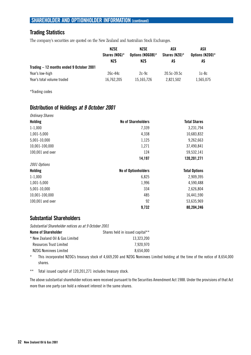# **SHAREHOLDER AND OPTIONHOLDER INFORMATION (continued)**

# **Trading Statistics**

The company's securities are quoted on the New Zealand and Australian Stock Exchanges.

|                                          | <b>NZSE</b>       | NZSE             | ASX              | ASX             |
|------------------------------------------|-------------------|------------------|------------------|-----------------|
|                                          | Shares ( $N0G$ )* | Options (NOGOB)* | Shares (NZO) $*$ | Options (NZOO)* |
|                                          | NZ\$              | NZ\$             | A\$              | A\$             |
| Trading - 12 months ended 9 October 2001 |                   |                  |                  |                 |
| Year's low-high                          | $26c-44c$         | $2c-9c$          | $20.5c - 39.5c$  | $1c-8c$         |
| Year's total volume traded               | 16,762,205        | 15.165.726       | 2.821.502        | 1.565.075       |

\*Trading codes

# **Distribution of Holdings at 9 October 2001**

| <b>Ordinary Shares</b> |                            |                      |
|------------------------|----------------------------|----------------------|
| Holding                | <b>No of Shareholders</b>  | <b>Total Shares</b>  |
| $1 - 1,000$            | 7,339                      | 3,231,794            |
| 1,001-5,000            | 4,338                      | 10,683,832           |
| 5,001-10,000           | 1,125                      | 9,262,663            |
| 10,001-100,000         | 1,271                      | 37,490,841           |
| 100,001 and over       | 124                        | 59,532,141           |
|                        | 14,197                     | 120,201,271          |
| 2001 Options           |                            |                      |
| Holding                | <b>No of Optionholders</b> | <b>Total Options</b> |
| $1 - 1,000$            | 6,825                      | 2,909,395            |
| 1,001-5,000            | 1,996                      | 4,590,488            |
| 5,001-10,000           | 334                        | 2,626,804            |
| 10,001-100,000         | 485                        | 16,441,590           |
| 100,001 and over       | 92                         | 53,635,969           |
|                        | 9,732                      | 80,204,246           |

# **Substantial Shareholders**

Substantial Shareholder notices as at 9 October 2001

| Name of Shareholder             | Shares held in issued capital** |
|---------------------------------|---------------------------------|
| * New Zealand Oil & Gas Limited | 13.323.200                      |
| Resources Trust Limited         | 7.920.970                       |
| NZOG Nominees Limited           | 8.654.000                       |
|                                 |                                 |

\* This incorporated NZOG's treasury stock of 4,669,200 and NZOG Nominees Limited holding at the time of the notice of 8,654,000 shares.

\*\* Total issued capital of 120,201,271 includes treasury stock.

The above substantial shareholder notices were received pursuant to the Securities Amendment Act 1988. Under the provisions of that Act more than one party can hold a relevant interest in the same shares.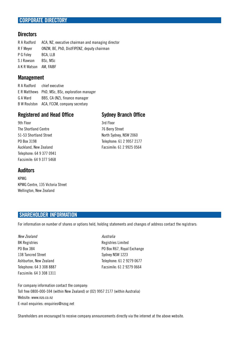### **CORPORATE DIRECTORY**

### **Directors**

R A Radford ACA, NZ, executive chairman and managing director R F Meyer ONZM, BE, PhD, DistFIPENZ, deputy chairman P G Foley BCA, LLB S J Rawson BSc, MSc A K R Watson AM, FAIBF

### **Management**

R A Radford chief executive E R Matthews PhD, MSc, BSc, exploration manager G A Ward BBS, CA (NZ), finance manager B W Roulston ACA, FCCM, company secretary

### **Registered and Head Office Sydney Branch Office**

North Sydney, NSW 2060 Telephone: 61 2 9957 2177 Facsimile: 61 2 9925 0564

3rd Floor 76 Berry Street

| 9th Floor                |  |  |
|--------------------------|--|--|
| The Shortland Centre     |  |  |
| 51-53 Shortland Street   |  |  |
| PO Box 3198              |  |  |
| Auckland, New Zealand    |  |  |
| Telephone: 64 9 377 0941 |  |  |
| Facsimile: 64 9 377 5468 |  |  |

# **Auditors**

KPMG KPMG Centre, 135 Victoria Street Wellington, New Zealand

### **SHAREHOLDER INFORMATION**

For information on number of shares or options held, holding statements and changes of address contact the registrars:

| New Zealand              |  |  |
|--------------------------|--|--|
| <b>BK Registries</b>     |  |  |
| PO Box 384               |  |  |
| 138 Tancred Street       |  |  |
| Ashburton, New Zealand   |  |  |
| Telephone: 64 3 308 8887 |  |  |
| Facsimile: 64 3 308 1311 |  |  |

Australia Registries Limited PO Box R67, Royal Exchange Sydney NSW 1223 Telephone: 61 2 9279 0677 Facsimile: 61 2 9279 0664

For company information contact the company: Toll free 0800-000-594 (within New Zealand) or (02) 9957 2177 (within Australia) Website: www.nzo.co.nz E-mail enquiries: enquiries@nzog.net

Shareholders are encouraged to receive company announcements directly via the internet at the above website.